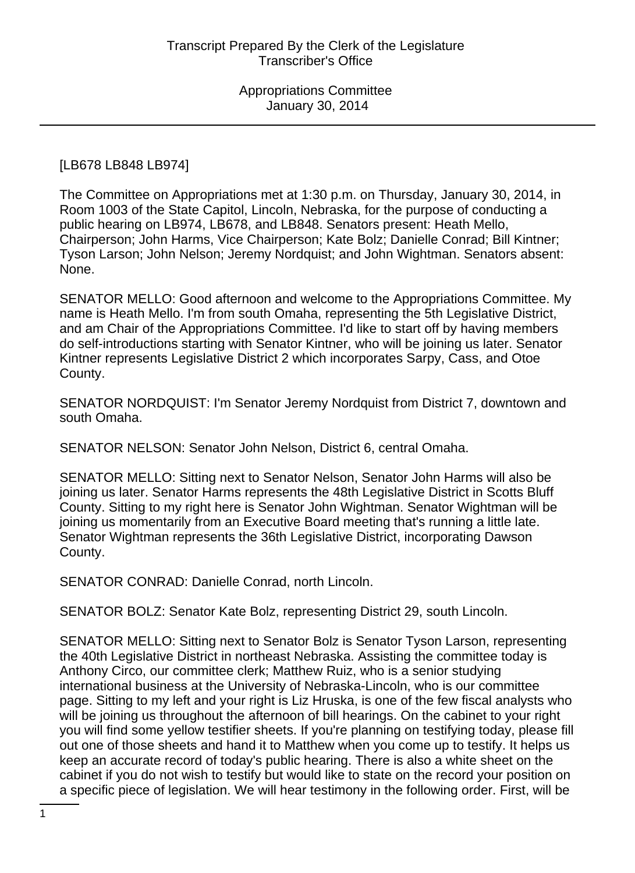## [LB678 LB848 LB974]

The Committee on Appropriations met at 1:30 p.m. on Thursday, January 30, 2014, in Room 1003 of the State Capitol, Lincoln, Nebraska, for the purpose of conducting a public hearing on LB974, LB678, and LB848. Senators present: Heath Mello, Chairperson; John Harms, Vice Chairperson; Kate Bolz; Danielle Conrad; Bill Kintner; Tyson Larson; John Nelson; Jeremy Nordquist; and John Wightman. Senators absent: None.

SENATOR MELLO: Good afternoon and welcome to the Appropriations Committee. My name is Heath Mello. I'm from south Omaha, representing the 5th Legislative District, and am Chair of the Appropriations Committee. I'd like to start off by having members do self-introductions starting with Senator Kintner, who will be joining us later. Senator Kintner represents Legislative District 2 which incorporates Sarpy, Cass, and Otoe County.

SENATOR NORDQUIST: I'm Senator Jeremy Nordquist from District 7, downtown and south Omaha.

SENATOR NELSON: Senator John Nelson, District 6, central Omaha.

SENATOR MELLO: Sitting next to Senator Nelson, Senator John Harms will also be joining us later. Senator Harms represents the 48th Legislative District in Scotts Bluff County. Sitting to my right here is Senator John Wightman. Senator Wightman will be joining us momentarily from an Executive Board meeting that's running a little late. Senator Wightman represents the 36th Legislative District, incorporating Dawson County.

SENATOR CONRAD: Danielle Conrad, north Lincoln.

SENATOR BOLZ: Senator Kate Bolz, representing District 29, south Lincoln.

SENATOR MELLO: Sitting next to Senator Bolz is Senator Tyson Larson, representing the 40th Legislative District in northeast Nebraska. Assisting the committee today is Anthony Circo, our committee clerk; Matthew Ruiz, who is a senior studying international business at the University of Nebraska-Lincoln, who is our committee page. Sitting to my left and your right is Liz Hruska, is one of the few fiscal analysts who will be joining us throughout the afternoon of bill hearings. On the cabinet to your right you will find some yellow testifier sheets. If you're planning on testifying today, please fill out one of those sheets and hand it to Matthew when you come up to testify. It helps us keep an accurate record of today's public hearing. There is also a white sheet on the cabinet if you do not wish to testify but would like to state on the record your position on a specific piece of legislation. We will hear testimony in the following order. First, will be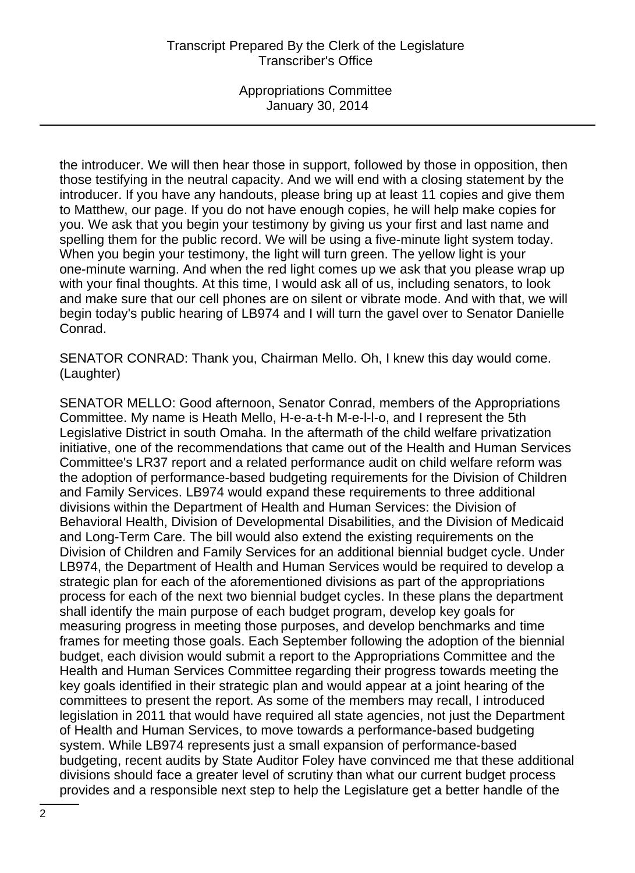the introducer. We will then hear those in support, followed by those in opposition, then those testifying in the neutral capacity. And we will end with a closing statement by the introducer. If you have any handouts, please bring up at least 11 copies and give them to Matthew, our page. If you do not have enough copies, he will help make copies for you. We ask that you begin your testimony by giving us your first and last name and spelling them for the public record. We will be using a five-minute light system today. When you begin your testimony, the light will turn green. The yellow light is your one-minute warning. And when the red light comes up we ask that you please wrap up with your final thoughts. At this time, I would ask all of us, including senators, to look and make sure that our cell phones are on silent or vibrate mode. And with that, we will begin today's public hearing of LB974 and I will turn the gavel over to Senator Danielle Conrad.

SENATOR CONRAD: Thank you, Chairman Mello. Oh, I knew this day would come. (Laughter)

SENATOR MELLO: Good afternoon, Senator Conrad, members of the Appropriations Committee. My name is Heath Mello, H-e-a-t-h M-e-l-l-o, and I represent the 5th Legislative District in south Omaha. In the aftermath of the child welfare privatization initiative, one of the recommendations that came out of the Health and Human Services Committee's LR37 report and a related performance audit on child welfare reform was the adoption of performance-based budgeting requirements for the Division of Children and Family Services. LB974 would expand these requirements to three additional divisions within the Department of Health and Human Services: the Division of Behavioral Health, Division of Developmental Disabilities, and the Division of Medicaid and Long-Term Care. The bill would also extend the existing requirements on the Division of Children and Family Services for an additional biennial budget cycle. Under LB974, the Department of Health and Human Services would be required to develop a strategic plan for each of the aforementioned divisions as part of the appropriations process for each of the next two biennial budget cycles. In these plans the department shall identify the main purpose of each budget program, develop key goals for measuring progress in meeting those purposes, and develop benchmarks and time frames for meeting those goals. Each September following the adoption of the biennial budget, each division would submit a report to the Appropriations Committee and the Health and Human Services Committee regarding their progress towards meeting the key goals identified in their strategic plan and would appear at a joint hearing of the committees to present the report. As some of the members may recall, I introduced legislation in 2011 that would have required all state agencies, not just the Department of Health and Human Services, to move towards a performance-based budgeting system. While LB974 represents just a small expansion of performance-based budgeting, recent audits by State Auditor Foley have convinced me that these additional divisions should face a greater level of scrutiny than what our current budget process provides and a responsible next step to help the Legislature get a better handle of the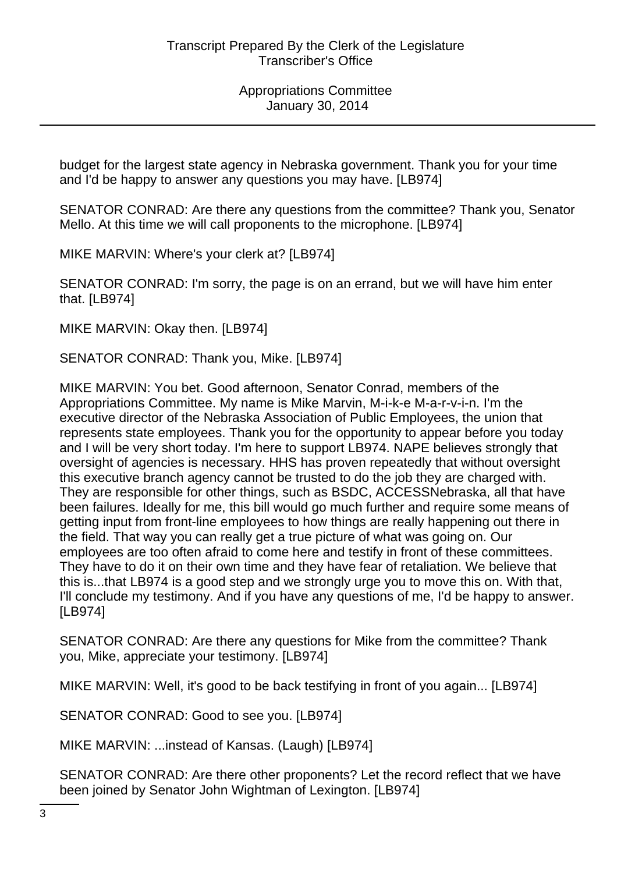budget for the largest state agency in Nebraska government. Thank you for your time and I'd be happy to answer any questions you may have. [LB974]

SENATOR CONRAD: Are there any questions from the committee? Thank you, Senator Mello. At this time we will call proponents to the microphone. [LB974]

MIKE MARVIN: Where's your clerk at? [LB974]

SENATOR CONRAD: I'm sorry, the page is on an errand, but we will have him enter that. [LB974]

MIKE MARVIN: Okay then. [LB974]

SENATOR CONRAD: Thank you, Mike. [LB974]

MIKE MARVIN: You bet. Good afternoon, Senator Conrad, members of the Appropriations Committee. My name is Mike Marvin, M-i-k-e M-a-r-v-i-n. I'm the executive director of the Nebraska Association of Public Employees, the union that represents state employees. Thank you for the opportunity to appear before you today and I will be very short today. I'm here to support LB974. NAPE believes strongly that oversight of agencies is necessary. HHS has proven repeatedly that without oversight this executive branch agency cannot be trusted to do the job they are charged with. They are responsible for other things, such as BSDC, ACCESSNebraska, all that have been failures. Ideally for me, this bill would go much further and require some means of getting input from front-line employees to how things are really happening out there in the field. That way you can really get a true picture of what was going on. Our employees are too often afraid to come here and testify in front of these committees. They have to do it on their own time and they have fear of retaliation. We believe that this is...that LB974 is a good step and we strongly urge you to move this on. With that, I'll conclude my testimony. And if you have any questions of me, I'd be happy to answer. [LB974]

SENATOR CONRAD: Are there any questions for Mike from the committee? Thank you, Mike, appreciate your testimony. [LB974]

MIKE MARVIN: Well, it's good to be back testifying in front of you again... [LB974]

SENATOR CONRAD: Good to see you. [LB974]

MIKE MARVIN: ...instead of Kansas. (Laugh) [LB974]

SENATOR CONRAD: Are there other proponents? Let the record reflect that we have been joined by Senator John Wightman of Lexington. [LB974]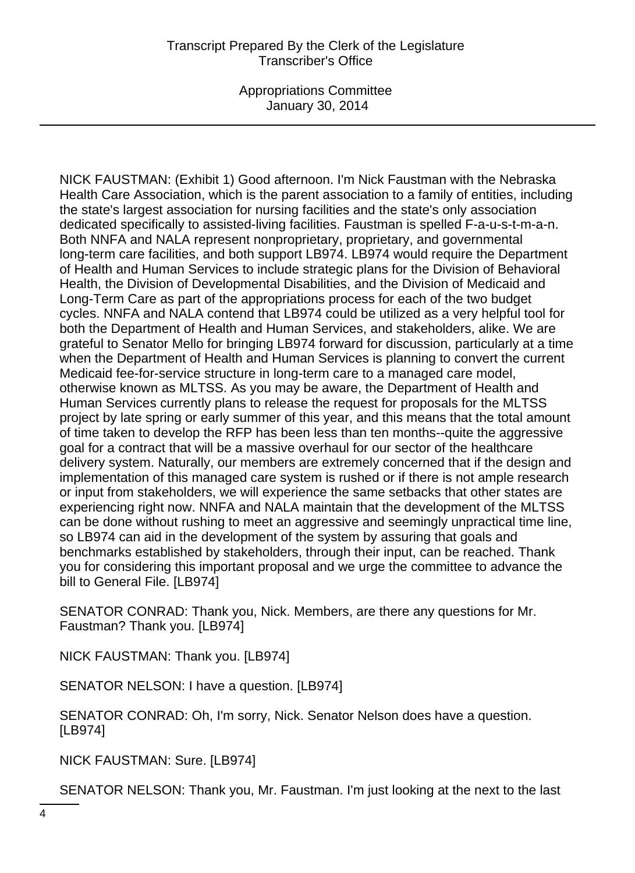NICK FAUSTMAN: (Exhibit 1) Good afternoon. I'm Nick Faustman with the Nebraska Health Care Association, which is the parent association to a family of entities, including the state's largest association for nursing facilities and the state's only association dedicated specifically to assisted-living facilities. Faustman is spelled F-a-u-s-t-m-a-n. Both NNFA and NALA represent nonproprietary, proprietary, and governmental long-term care facilities, and both support LB974. LB974 would require the Department of Health and Human Services to include strategic plans for the Division of Behavioral Health, the Division of Developmental Disabilities, and the Division of Medicaid and Long-Term Care as part of the appropriations process for each of the two budget cycles. NNFA and NALA contend that LB974 could be utilized as a very helpful tool for both the Department of Health and Human Services, and stakeholders, alike. We are grateful to Senator Mello for bringing LB974 forward for discussion, particularly at a time when the Department of Health and Human Services is planning to convert the current Medicaid fee-for-service structure in long-term care to a managed care model, otherwise known as MLTSS. As you may be aware, the Department of Health and Human Services currently plans to release the request for proposals for the MLTSS project by late spring or early summer of this year, and this means that the total amount of time taken to develop the RFP has been less than ten months--quite the aggressive goal for a contract that will be a massive overhaul for our sector of the healthcare delivery system. Naturally, our members are extremely concerned that if the design and implementation of this managed care system is rushed or if there is not ample research or input from stakeholders, we will experience the same setbacks that other states are experiencing right now. NNFA and NALA maintain that the development of the MLTSS can be done without rushing to meet an aggressive and seemingly unpractical time line, so LB974 can aid in the development of the system by assuring that goals and benchmarks established by stakeholders, through their input, can be reached. Thank you for considering this important proposal and we urge the committee to advance the bill to General File. [LB974]

SENATOR CONRAD: Thank you, Nick. Members, are there any questions for Mr. Faustman? Thank you. [LB974]

NICK FAUSTMAN: Thank you. [LB974]

SENATOR NELSON: I have a question. [LB974]

SENATOR CONRAD: Oh, I'm sorry, Nick. Senator Nelson does have a question. [LB974]

NICK FAUSTMAN: Sure. [LB974]

SENATOR NELSON: Thank you, Mr. Faustman. I'm just looking at the next to the last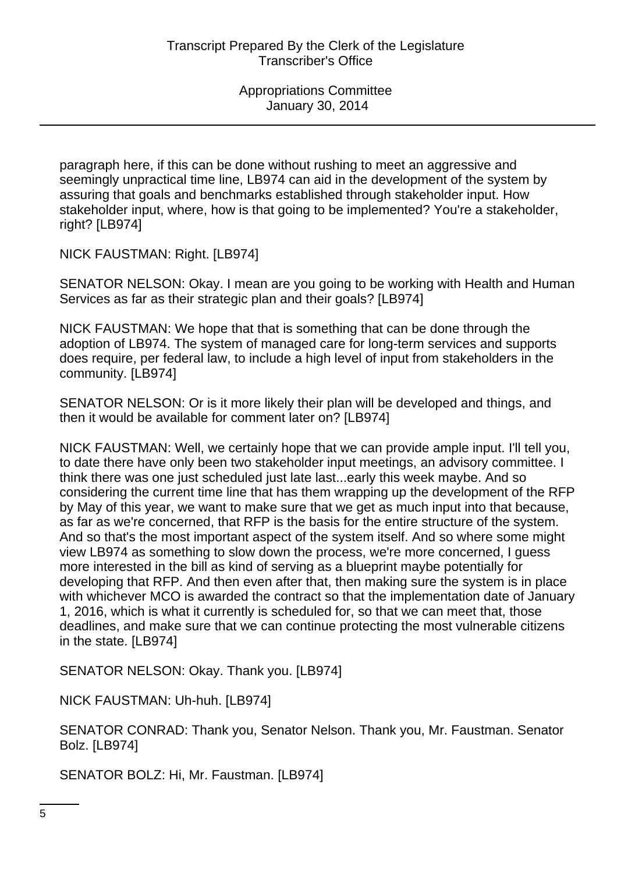paragraph here, if this can be done without rushing to meet an aggressive and seemingly unpractical time line, LB974 can aid in the development of the system by assuring that goals and benchmarks established through stakeholder input. How stakeholder input, where, how is that going to be implemented? You're a stakeholder, right? [LB974]

NICK FAUSTMAN: Right. [LB974]

SENATOR NELSON: Okay. I mean are you going to be working with Health and Human Services as far as their strategic plan and their goals? [LB974]

NICK FAUSTMAN: We hope that that is something that can be done through the adoption of LB974. The system of managed care for long-term services and supports does require, per federal law, to include a high level of input from stakeholders in the community. [LB974]

SENATOR NELSON: Or is it more likely their plan will be developed and things, and then it would be available for comment later on? [LB974]

NICK FAUSTMAN: Well, we certainly hope that we can provide ample input. I'll tell you, to date there have only been two stakeholder input meetings, an advisory committee. I think there was one just scheduled just late last...early this week maybe. And so considering the current time line that has them wrapping up the development of the RFP by May of this year, we want to make sure that we get as much input into that because, as far as we're concerned, that RFP is the basis for the entire structure of the system. And so that's the most important aspect of the system itself. And so where some might view LB974 as something to slow down the process, we're more concerned, I guess more interested in the bill as kind of serving as a blueprint maybe potentially for developing that RFP. And then even after that, then making sure the system is in place with whichever MCO is awarded the contract so that the implementation date of January 1, 2016, which is what it currently is scheduled for, so that we can meet that, those deadlines, and make sure that we can continue protecting the most vulnerable citizens in the state. [LB974]

SENATOR NELSON: Okay. Thank you. [LB974]

NICK FAUSTMAN: Uh-huh. [LB974]

SENATOR CONRAD: Thank you, Senator Nelson. Thank you, Mr. Faustman. Senator Bolz. [LB974]

SENATOR BOLZ: Hi, Mr. Faustman. [LB974]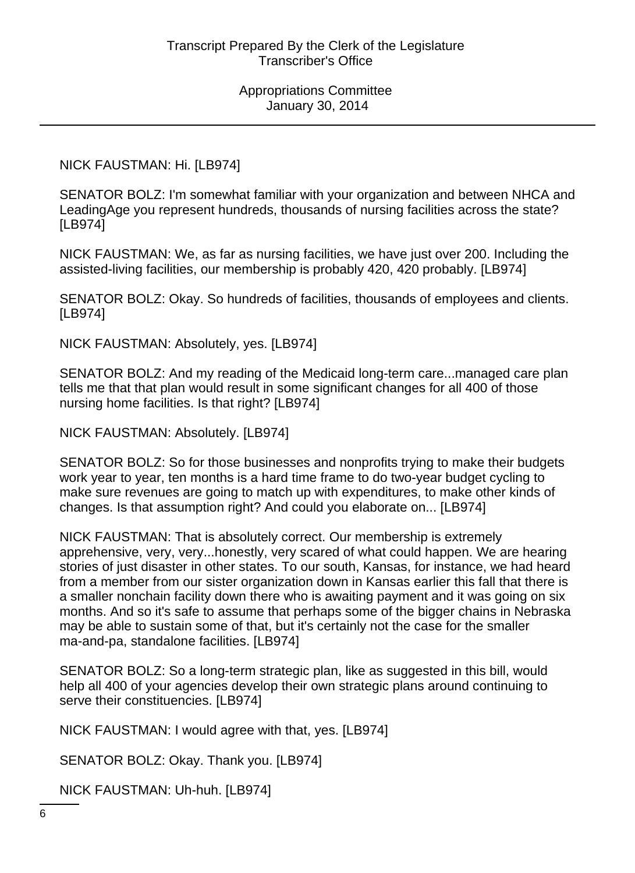## NICK FAUSTMAN: Hi. [LB974]

SENATOR BOLZ: I'm somewhat familiar with your organization and between NHCA and LeadingAge you represent hundreds, thousands of nursing facilities across the state? [LB974]

NICK FAUSTMAN: We, as far as nursing facilities, we have just over 200. Including the assisted-living facilities, our membership is probably 420, 420 probably. [LB974]

SENATOR BOLZ: Okay. So hundreds of facilities, thousands of employees and clients. [LB974]

NICK FAUSTMAN: Absolutely, yes. [LB974]

SENATOR BOLZ: And my reading of the Medicaid long-term care...managed care plan tells me that that plan would result in some significant changes for all 400 of those nursing home facilities. Is that right? [LB974]

NICK FAUSTMAN: Absolutely. [LB974]

SENATOR BOLZ: So for those businesses and nonprofits trying to make their budgets work year to year, ten months is a hard time frame to do two-year budget cycling to make sure revenues are going to match up with expenditures, to make other kinds of changes. Is that assumption right? And could you elaborate on... [LB974]

NICK FAUSTMAN: That is absolutely correct. Our membership is extremely apprehensive, very, very...honestly, very scared of what could happen. We are hearing stories of just disaster in other states. To our south, Kansas, for instance, we had heard from a member from our sister organization down in Kansas earlier this fall that there is a smaller nonchain facility down there who is awaiting payment and it was going on six months. And so it's safe to assume that perhaps some of the bigger chains in Nebraska may be able to sustain some of that, but it's certainly not the case for the smaller ma-and-pa, standalone facilities. [LB974]

SENATOR BOLZ: So a long-term strategic plan, like as suggested in this bill, would help all 400 of your agencies develop their own strategic plans around continuing to serve their constituencies. [LB974]

NICK FAUSTMAN: I would agree with that, yes. [LB974]

SENATOR BOLZ: Okay. Thank you. [LB974]

NICK FAUSTMAN: Uh-huh. [LB974]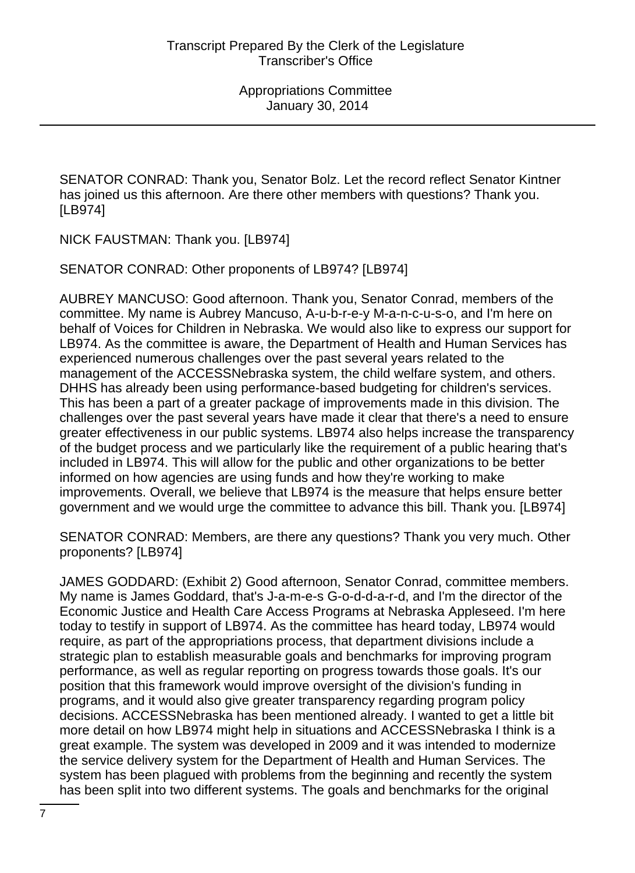SENATOR CONRAD: Thank you, Senator Bolz. Let the record reflect Senator Kintner has joined us this afternoon. Are there other members with questions? Thank you. [LB974]

NICK FAUSTMAN: Thank you. [LB974]

SENATOR CONRAD: Other proponents of LB974? [LB974]

AUBREY MANCUSO: Good afternoon. Thank you, Senator Conrad, members of the committee. My name is Aubrey Mancuso, A-u-b-r-e-y M-a-n-c-u-s-o, and I'm here on behalf of Voices for Children in Nebraska. We would also like to express our support for LB974. As the committee is aware, the Department of Health and Human Services has experienced numerous challenges over the past several years related to the management of the ACCESSNebraska system, the child welfare system, and others. DHHS has already been using performance-based budgeting for children's services. This has been a part of a greater package of improvements made in this division. The challenges over the past several years have made it clear that there's a need to ensure greater effectiveness in our public systems. LB974 also helps increase the transparency of the budget process and we particularly like the requirement of a public hearing that's included in LB974. This will allow for the public and other organizations to be better informed on how agencies are using funds and how they're working to make improvements. Overall, we believe that LB974 is the measure that helps ensure better government and we would urge the committee to advance this bill. Thank you. [LB974]

SENATOR CONRAD: Members, are there any questions? Thank you very much. Other proponents? [LB974]

JAMES GODDARD: (Exhibit 2) Good afternoon, Senator Conrad, committee members. My name is James Goddard, that's J-a-m-e-s G-o-d-d-a-r-d, and I'm the director of the Economic Justice and Health Care Access Programs at Nebraska Appleseed. I'm here today to testify in support of LB974. As the committee has heard today, LB974 would require, as part of the appropriations process, that department divisions include a strategic plan to establish measurable goals and benchmarks for improving program performance, as well as regular reporting on progress towards those goals. It's our position that this framework would improve oversight of the division's funding in programs, and it would also give greater transparency regarding program policy decisions. ACCESSNebraska has been mentioned already. I wanted to get a little bit more detail on how LB974 might help in situations and ACCESSNebraska I think is a great example. The system was developed in 2009 and it was intended to modernize the service delivery system for the Department of Health and Human Services. The system has been plagued with problems from the beginning and recently the system has been split into two different systems. The goals and benchmarks for the original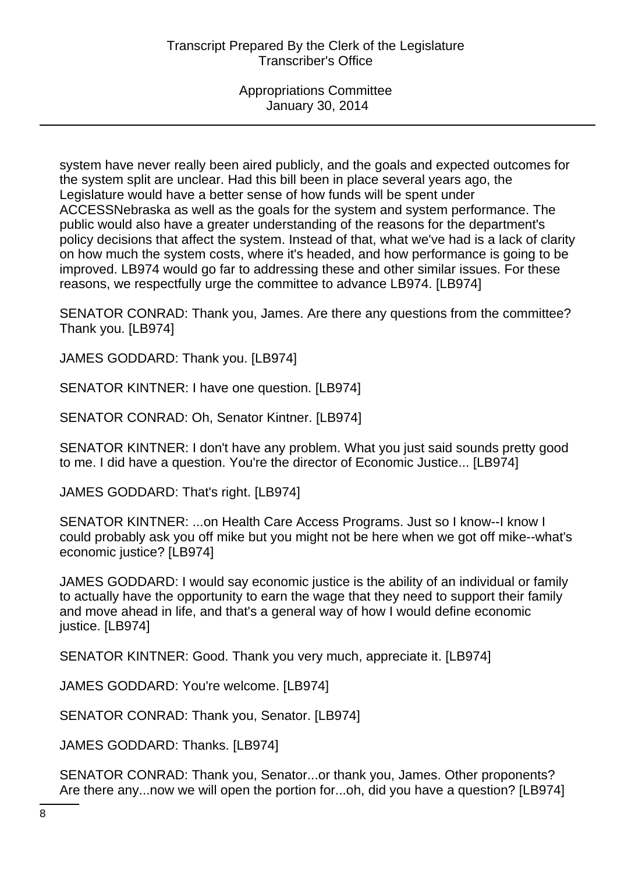system have never really been aired publicly, and the goals and expected outcomes for the system split are unclear. Had this bill been in place several years ago, the Legislature would have a better sense of how funds will be spent under ACCESSNebraska as well as the goals for the system and system performance. The public would also have a greater understanding of the reasons for the department's policy decisions that affect the system. Instead of that, what we've had is a lack of clarity on how much the system costs, where it's headed, and how performance is going to be improved. LB974 would go far to addressing these and other similar issues. For these reasons, we respectfully urge the committee to advance LB974. [LB974]

SENATOR CONRAD: Thank you, James. Are there any questions from the committee? Thank you. [LB974]

JAMES GODDARD: Thank you. [LB974]

SENATOR KINTNER: I have one question. [LB974]

SENATOR CONRAD: Oh, Senator Kintner. [LB974]

SENATOR KINTNER: I don't have any problem. What you just said sounds pretty good to me. I did have a question. You're the director of Economic Justice... [LB974]

JAMES GODDARD: That's right. [LB974]

SENATOR KINTNER: ...on Health Care Access Programs. Just so I know--I know I could probably ask you off mike but you might not be here when we got off mike--what's economic justice? [LB974]

JAMES GODDARD: I would say economic justice is the ability of an individual or family to actually have the opportunity to earn the wage that they need to support their family and move ahead in life, and that's a general way of how I would define economic justice. [LB974]

SENATOR KINTNER: Good. Thank you very much, appreciate it. [LB974]

JAMES GODDARD: You're welcome. [LB974]

SENATOR CONRAD: Thank you, Senator. [LB974]

JAMES GODDARD: Thanks. [LB974]

SENATOR CONRAD: Thank you, Senator...or thank you, James. Other proponents? Are there any...now we will open the portion for...oh, did you have a question? [LB974]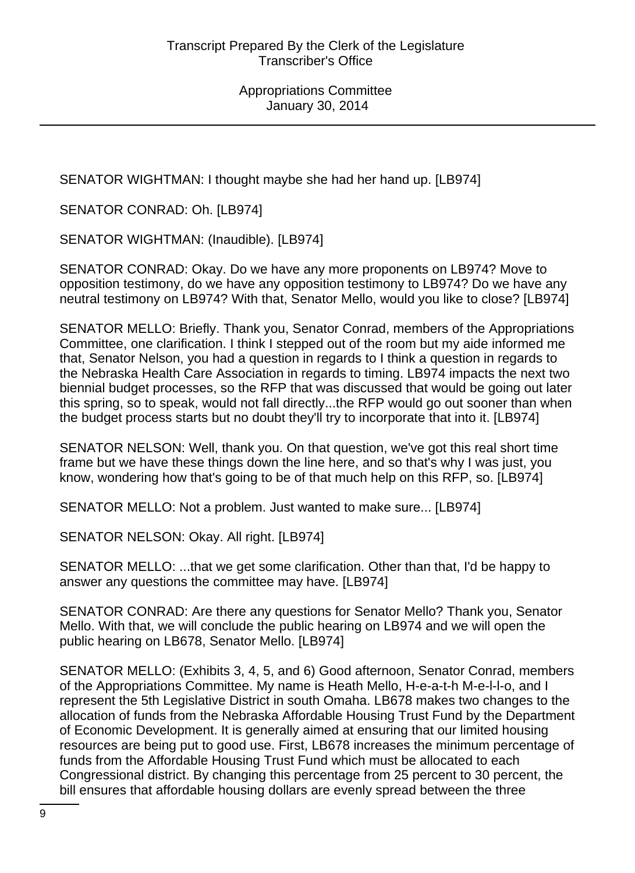SENATOR WIGHTMAN: I thought maybe she had her hand up. [LB974]

SENATOR CONRAD: Oh. [LB974]

SENATOR WIGHTMAN: (Inaudible). [LB974]

SENATOR CONRAD: Okay. Do we have any more proponents on LB974? Move to opposition testimony, do we have any opposition testimony to LB974? Do we have any neutral testimony on LB974? With that, Senator Mello, would you like to close? [LB974]

SENATOR MELLO: Briefly. Thank you, Senator Conrad, members of the Appropriations Committee, one clarification. I think I stepped out of the room but my aide informed me that, Senator Nelson, you had a question in regards to I think a question in regards to the Nebraska Health Care Association in regards to timing. LB974 impacts the next two biennial budget processes, so the RFP that was discussed that would be going out later this spring, so to speak, would not fall directly...the RFP would go out sooner than when the budget process starts but no doubt they'll try to incorporate that into it. [LB974]

SENATOR NELSON: Well, thank you. On that question, we've got this real short time frame but we have these things down the line here, and so that's why I was just, you know, wondering how that's going to be of that much help on this RFP, so. [LB974]

SENATOR MELLO: Not a problem. Just wanted to make sure... [LB974]

SENATOR NELSON: Okay. All right. [LB974]

SENATOR MELLO: ...that we get some clarification. Other than that, I'd be happy to answer any questions the committee may have. [LB974]

SENATOR CONRAD: Are there any questions for Senator Mello? Thank you, Senator Mello. With that, we will conclude the public hearing on LB974 and we will open the public hearing on LB678, Senator Mello. [LB974]

SENATOR MELLO: (Exhibits 3, 4, 5, and 6) Good afternoon, Senator Conrad, members of the Appropriations Committee. My name is Heath Mello, H-e-a-t-h M-e-l-l-o, and I represent the 5th Legislative District in south Omaha. LB678 makes two changes to the allocation of funds from the Nebraska Affordable Housing Trust Fund by the Department of Economic Development. It is generally aimed at ensuring that our limited housing resources are being put to good use. First, LB678 increases the minimum percentage of funds from the Affordable Housing Trust Fund which must be allocated to each Congressional district. By changing this percentage from 25 percent to 30 percent, the bill ensures that affordable housing dollars are evenly spread between the three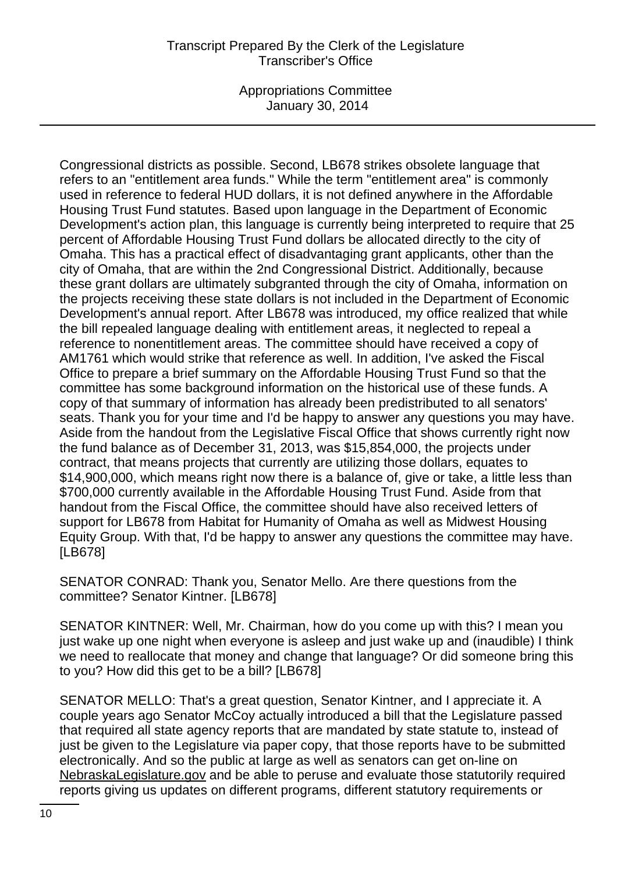Appropriations Committee January 30, 2014

Congressional districts as possible. Second, LB678 strikes obsolete language that refers to an "entitlement area funds." While the term "entitlement area" is commonly used in reference to federal HUD dollars, it is not defined anywhere in the Affordable Housing Trust Fund statutes. Based upon language in the Department of Economic Development's action plan, this language is currently being interpreted to require that 25 percent of Affordable Housing Trust Fund dollars be allocated directly to the city of Omaha. This has a practical effect of disadvantaging grant applicants, other than the city of Omaha, that are within the 2nd Congressional District. Additionally, because these grant dollars are ultimately subgranted through the city of Omaha, information on the projects receiving these state dollars is not included in the Department of Economic Development's annual report. After LB678 was introduced, my office realized that while the bill repealed language dealing with entitlement areas, it neglected to repeal a reference to nonentitlement areas. The committee should have received a copy of AM1761 which would strike that reference as well. In addition, I've asked the Fiscal Office to prepare a brief summary on the Affordable Housing Trust Fund so that the committee has some background information on the historical use of these funds. A copy of that summary of information has already been predistributed to all senators' seats. Thank you for your time and I'd be happy to answer any questions you may have. Aside from the handout from the Legislative Fiscal Office that shows currently right now the fund balance as of December 31, 2013, was \$15,854,000, the projects under contract, that means projects that currently are utilizing those dollars, equates to \$14,900,000, which means right now there is a balance of, give or take, a little less than \$700,000 currently available in the Affordable Housing Trust Fund. Aside from that handout from the Fiscal Office, the committee should have also received letters of support for LB678 from Habitat for Humanity of Omaha as well as Midwest Housing Equity Group. With that, I'd be happy to answer any questions the committee may have. [LB678]

SENATOR CONRAD: Thank you, Senator Mello. Are there questions from the committee? Senator Kintner. [LB678]

SENATOR KINTNER: Well, Mr. Chairman, how do you come up with this? I mean you just wake up one night when everyone is asleep and just wake up and (inaudible) I think we need to reallocate that money and change that language? Or did someone bring this to you? How did this get to be a bill? [LB678]

SENATOR MELLO: That's a great question, Senator Kintner, and I appreciate it. A couple years ago Senator McCoy actually introduced a bill that the Legislature passed that required all state agency reports that are mandated by state statute to, instead of just be given to the Legislature via paper copy, that those reports have to be submitted electronically. And so the public at large as well as senators can get on-line on NebraskaLegislature.gov and be able to peruse and evaluate those statutorily required reports giving us updates on different programs, different statutory requirements or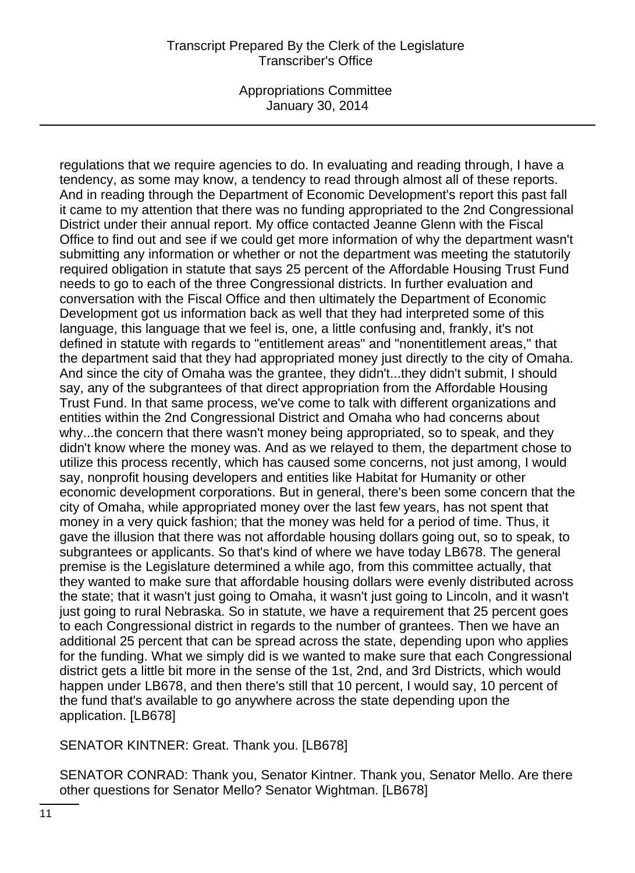Appropriations Committee January 30, 2014

regulations that we require agencies to do. In evaluating and reading through, I have a tendency, as some may know, a tendency to read through almost all of these reports. And in reading through the Department of Economic Development's report this past fall it came to my attention that there was no funding appropriated to the 2nd Congressional District under their annual report. My office contacted Jeanne Glenn with the Fiscal Office to find out and see if we could get more information of why the department wasn't submitting any information or whether or not the department was meeting the statutorily required obligation in statute that says 25 percent of the Affordable Housing Trust Fund needs to go to each of the three Congressional districts. In further evaluation and conversation with the Fiscal Office and then ultimately the Department of Economic Development got us information back as well that they had interpreted some of this language, this language that we feel is, one, a little confusing and, frankly, it's not defined in statute with regards to "entitlement areas" and "nonentitlement areas," that the department said that they had appropriated money just directly to the city of Omaha. And since the city of Omaha was the grantee, they didn't...they didn't submit, I should say, any of the subgrantees of that direct appropriation from the Affordable Housing Trust Fund. In that same process, we've come to talk with different organizations and entities within the 2nd Congressional District and Omaha who had concerns about why...the concern that there wasn't money being appropriated, so to speak, and they didn't know where the money was. And as we relayed to them, the department chose to utilize this process recently, which has caused some concerns, not just among, I would say, nonprofit housing developers and entities like Habitat for Humanity or other economic development corporations. But in general, there's been some concern that the city of Omaha, while appropriated money over the last few years, has not spent that money in a very quick fashion; that the money was held for a period of time. Thus, it gave the illusion that there was not affordable housing dollars going out, so to speak, to subgrantees or applicants. So that's kind of where we have today LB678. The general premise is the Legislature determined a while ago, from this committee actually, that they wanted to make sure that affordable housing dollars were evenly distributed across the state; that it wasn't just going to Omaha, it wasn't just going to Lincoln, and it wasn't just going to rural Nebraska. So in statute, we have a requirement that 25 percent goes to each Congressional district in regards to the number of grantees. Then we have an additional 25 percent that can be spread across the state, depending upon who applies for the funding. What we simply did is we wanted to make sure that each Congressional district gets a little bit more in the sense of the 1st, 2nd, and 3rd Districts, which would happen under LB678, and then there's still that 10 percent, I would say, 10 percent of the fund that's available to go anywhere across the state depending upon the application. [LB678]

SENATOR KINTNER: Great. Thank you. [LB678]

SENATOR CONRAD: Thank you, Senator Kintner. Thank you, Senator Mello. Are there other questions for Senator Mello? Senator Wightman. [LB678]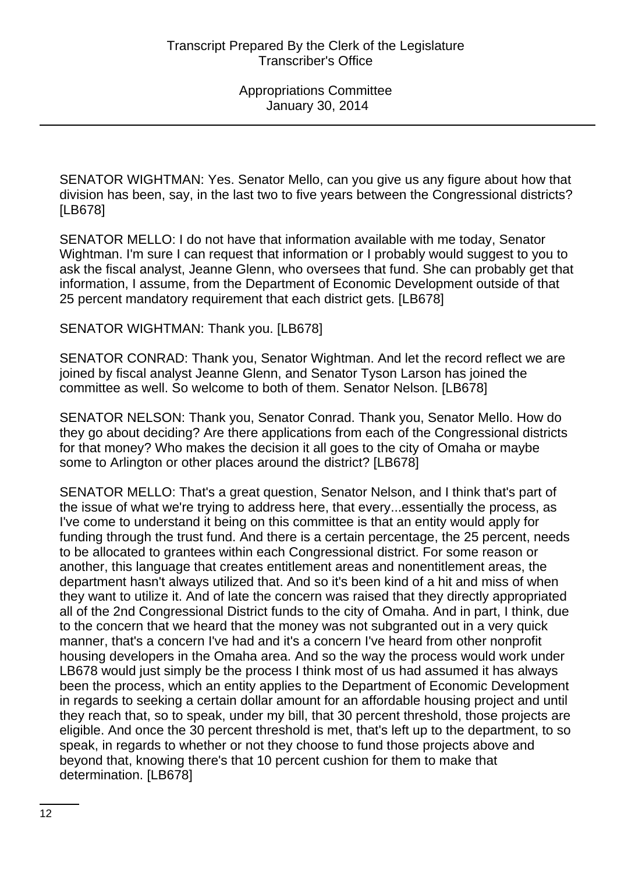SENATOR WIGHTMAN: Yes. Senator Mello, can you give us any figure about how that division has been, say, in the last two to five years between the Congressional districts? [LB678]

SENATOR MELLO: I do not have that information available with me today, Senator Wightman. I'm sure I can request that information or I probably would suggest to you to ask the fiscal analyst, Jeanne Glenn, who oversees that fund. She can probably get that information, I assume, from the Department of Economic Development outside of that 25 percent mandatory requirement that each district gets. [LB678]

#### SENATOR WIGHTMAN: Thank you. [LB678]

SENATOR CONRAD: Thank you, Senator Wightman. And let the record reflect we are joined by fiscal analyst Jeanne Glenn, and Senator Tyson Larson has joined the committee as well. So welcome to both of them. Senator Nelson. [LB678]

SENATOR NELSON: Thank you, Senator Conrad. Thank you, Senator Mello. How do they go about deciding? Are there applications from each of the Congressional districts for that money? Who makes the decision it all goes to the city of Omaha or maybe some to Arlington or other places around the district? [LB678]

SENATOR MELLO: That's a great question, Senator Nelson, and I think that's part of the issue of what we're trying to address here, that every...essentially the process, as I've come to understand it being on this committee is that an entity would apply for funding through the trust fund. And there is a certain percentage, the 25 percent, needs to be allocated to grantees within each Congressional district. For some reason or another, this language that creates entitlement areas and nonentitlement areas, the department hasn't always utilized that. And so it's been kind of a hit and miss of when they want to utilize it. And of late the concern was raised that they directly appropriated all of the 2nd Congressional District funds to the city of Omaha. And in part, I think, due to the concern that we heard that the money was not subgranted out in a very quick manner, that's a concern I've had and it's a concern I've heard from other nonprofit housing developers in the Omaha area. And so the way the process would work under LB678 would just simply be the process I think most of us had assumed it has always been the process, which an entity applies to the Department of Economic Development in regards to seeking a certain dollar amount for an affordable housing project and until they reach that, so to speak, under my bill, that 30 percent threshold, those projects are eligible. And once the 30 percent threshold is met, that's left up to the department, to so speak, in regards to whether or not they choose to fund those projects above and beyond that, knowing there's that 10 percent cushion for them to make that determination. [LB678]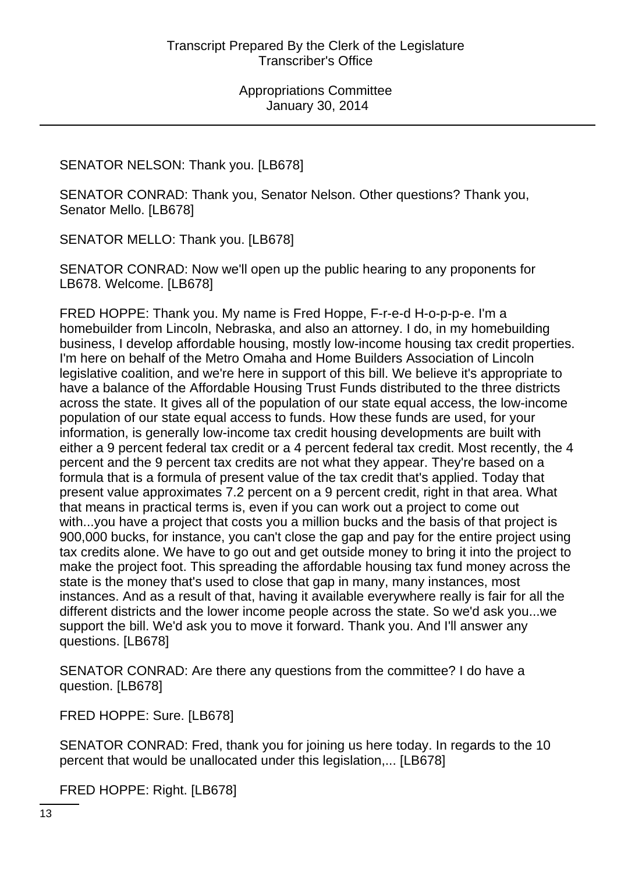# SENATOR NELSON: Thank you. [LB678]

SENATOR CONRAD: Thank you, Senator Nelson. Other questions? Thank you, Senator Mello. [LB678]

SENATOR MELLO: Thank you. [LB678]

SENATOR CONRAD: Now we'll open up the public hearing to any proponents for LB678. Welcome. [LB678]

FRED HOPPE: Thank you. My name is Fred Hoppe, F-r-e-d H-o-p-p-e. I'm a homebuilder from Lincoln, Nebraska, and also an attorney. I do, in my homebuilding business, I develop affordable housing, mostly low-income housing tax credit properties. I'm here on behalf of the Metro Omaha and Home Builders Association of Lincoln legislative coalition, and we're here in support of this bill. We believe it's appropriate to have a balance of the Affordable Housing Trust Funds distributed to the three districts across the state. It gives all of the population of our state equal access, the low-income population of our state equal access to funds. How these funds are used, for your information, is generally low-income tax credit housing developments are built with either a 9 percent federal tax credit or a 4 percent federal tax credit. Most recently, the 4 percent and the 9 percent tax credits are not what they appear. They're based on a formula that is a formula of present value of the tax credit that's applied. Today that present value approximates 7.2 percent on a 9 percent credit, right in that area. What that means in practical terms is, even if you can work out a project to come out with...you have a project that costs you a million bucks and the basis of that project is 900,000 bucks, for instance, you can't close the gap and pay for the entire project using tax credits alone. We have to go out and get outside money to bring it into the project to make the project foot. This spreading the affordable housing tax fund money across the state is the money that's used to close that gap in many, many instances, most instances. And as a result of that, having it available everywhere really is fair for all the different districts and the lower income people across the state. So we'd ask you...we support the bill. We'd ask you to move it forward. Thank you. And I'll answer any questions. [LB678]

SENATOR CONRAD: Are there any questions from the committee? I do have a question. [LB678]

FRED HOPPE: Sure. [LB678]

SENATOR CONRAD: Fred, thank you for joining us here today. In regards to the 10 percent that would be unallocated under this legislation,... [LB678]

FRED HOPPE: Right. [LB678]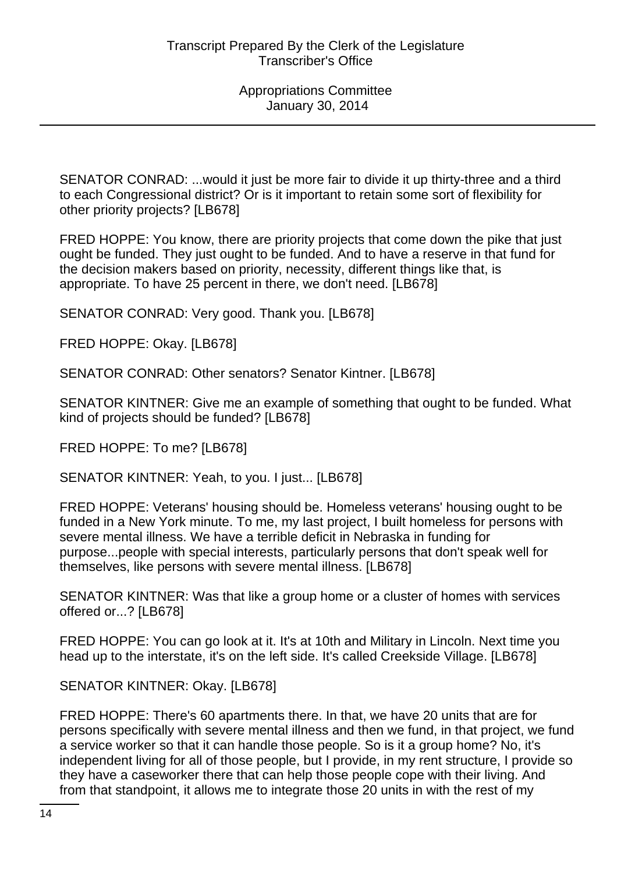SENATOR CONRAD: ...would it just be more fair to divide it up thirty-three and a third to each Congressional district? Or is it important to retain some sort of flexibility for other priority projects? [LB678]

FRED HOPPE: You know, there are priority projects that come down the pike that just ought be funded. They just ought to be funded. And to have a reserve in that fund for the decision makers based on priority, necessity, different things like that, is appropriate. To have 25 percent in there, we don't need. [LB678]

SENATOR CONRAD: Very good. Thank you. [LB678]

FRED HOPPE: Okay. [LB678]

SENATOR CONRAD: Other senators? Senator Kintner. [LB678]

SENATOR KINTNER: Give me an example of something that ought to be funded. What kind of projects should be funded? [LB678]

FRED HOPPE: To me? [LB678]

SENATOR KINTNER: Yeah, to you. I just... [LB678]

FRED HOPPE: Veterans' housing should be. Homeless veterans' housing ought to be funded in a New York minute. To me, my last project, I built homeless for persons with severe mental illness. We have a terrible deficit in Nebraska in funding for purpose...people with special interests, particularly persons that don't speak well for themselves, like persons with severe mental illness. [LB678]

SENATOR KINTNER: Was that like a group home or a cluster of homes with services offered or...? [LB678]

FRED HOPPE: You can go look at it. It's at 10th and Military in Lincoln. Next time you head up to the interstate, it's on the left side. It's called Creekside Village. [LB678]

SENATOR KINTNER: Okay. [LB678]

FRED HOPPE: There's 60 apartments there. In that, we have 20 units that are for persons specifically with severe mental illness and then we fund, in that project, we fund a service worker so that it can handle those people. So is it a group home? No, it's independent living for all of those people, but I provide, in my rent structure, I provide so they have a caseworker there that can help those people cope with their living. And from that standpoint, it allows me to integrate those 20 units in with the rest of my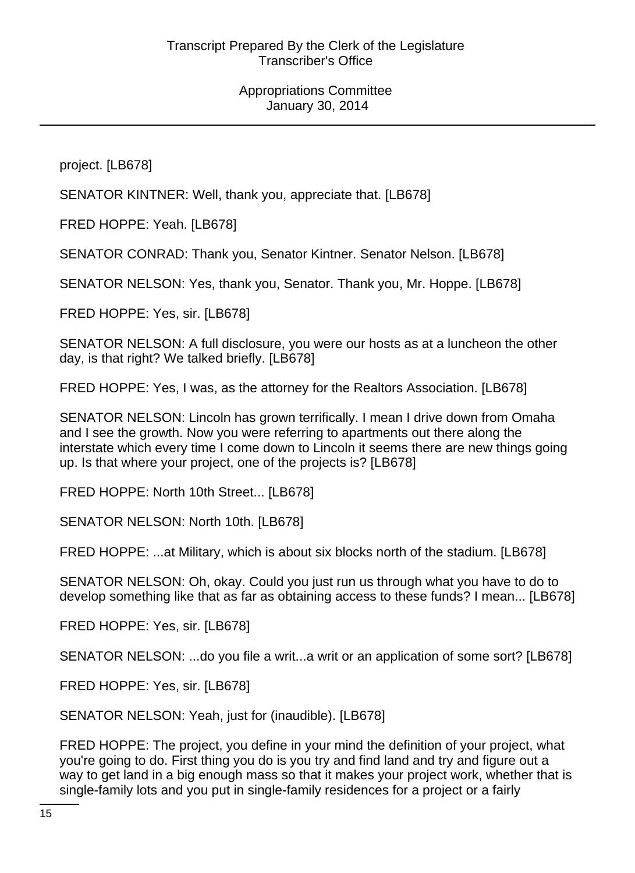project. [LB678]

SENATOR KINTNER: Well, thank you, appreciate that. [LB678]

FRED HOPPE: Yeah. [LB678]

SENATOR CONRAD: Thank you, Senator Kintner. Senator Nelson. [LB678]

SENATOR NELSON: Yes, thank you, Senator. Thank you, Mr. Hoppe. [LB678]

FRED HOPPE: Yes, sir. [LB678]

SENATOR NELSON: A full disclosure, you were our hosts as at a luncheon the other day, is that right? We talked briefly. [LB678]

FRED HOPPE: Yes, I was, as the attorney for the Realtors Association. [LB678]

SENATOR NELSON: Lincoln has grown terrifically. I mean I drive down from Omaha and I see the growth. Now you were referring to apartments out there along the interstate which every time I come down to Lincoln it seems there are new things going up. Is that where your project, one of the projects is? [LB678]

FRED HOPPE: North 10th Street... [LB678]

SENATOR NELSON: North 10th. [LB678]

FRED HOPPE: ...at Military, which is about six blocks north of the stadium. [LB678]

SENATOR NELSON: Oh, okay. Could you just run us through what you have to do to develop something like that as far as obtaining access to these funds? I mean... [LB678]

FRED HOPPE: Yes, sir. [LB678]

SENATOR NELSON: ...do you file a writ...a writ or an application of some sort? [LB678]

FRED HOPPE: Yes, sir. [LB678]

SENATOR NELSON: Yeah, just for (inaudible). [LB678]

FRED HOPPE: The project, you define in your mind the definition of your project, what you're going to do. First thing you do is you try and find land and try and figure out a way to get land in a big enough mass so that it makes your project work, whether that is single-family lots and you put in single-family residences for a project or a fairly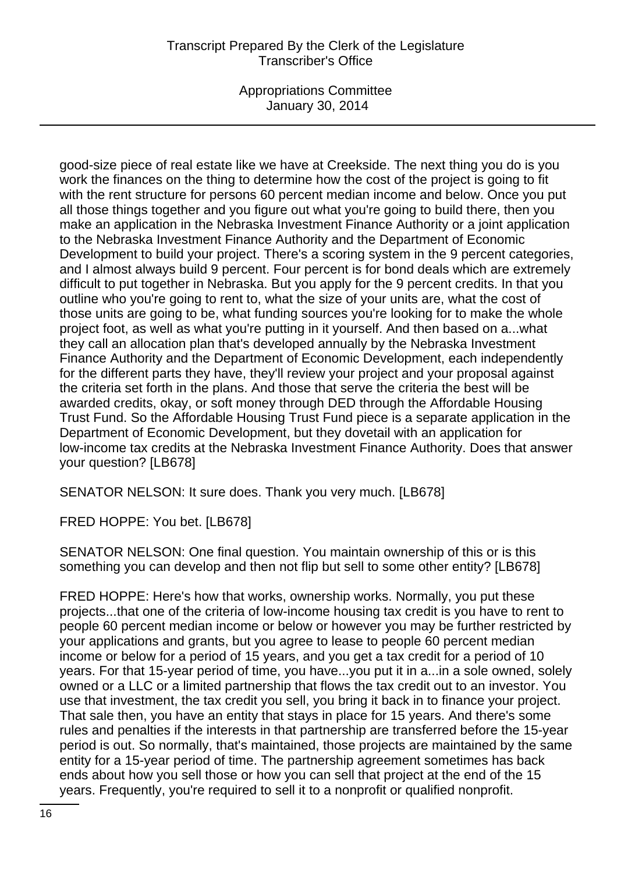Appropriations Committee January 30, 2014

good-size piece of real estate like we have at Creekside. The next thing you do is you work the finances on the thing to determine how the cost of the project is going to fit with the rent structure for persons 60 percent median income and below. Once you put all those things together and you figure out what you're going to build there, then you make an application in the Nebraska Investment Finance Authority or a joint application to the Nebraska Investment Finance Authority and the Department of Economic Development to build your project. There's a scoring system in the 9 percent categories, and I almost always build 9 percent. Four percent is for bond deals which are extremely difficult to put together in Nebraska. But you apply for the 9 percent credits. In that you outline who you're going to rent to, what the size of your units are, what the cost of those units are going to be, what funding sources you're looking for to make the whole project foot, as well as what you're putting in it yourself. And then based on a...what they call an allocation plan that's developed annually by the Nebraska Investment Finance Authority and the Department of Economic Development, each independently for the different parts they have, they'll review your project and your proposal against the criteria set forth in the plans. And those that serve the criteria the best will be awarded credits, okay, or soft money through DED through the Affordable Housing Trust Fund. So the Affordable Housing Trust Fund piece is a separate application in the Department of Economic Development, but they dovetail with an application for low-income tax credits at the Nebraska Investment Finance Authority. Does that answer your question? [LB678]

SENATOR NELSON: It sure does. Thank you very much. [LB678]

FRED HOPPE: You bet. [LB678]

SENATOR NELSON: One final question. You maintain ownership of this or is this something you can develop and then not flip but sell to some other entity? [LB678]

FRED HOPPE: Here's how that works, ownership works. Normally, you put these projects...that one of the criteria of low-income housing tax credit is you have to rent to people 60 percent median income or below or however you may be further restricted by your applications and grants, but you agree to lease to people 60 percent median income or below for a period of 15 years, and you get a tax credit for a period of 10 years. For that 15-year period of time, you have...you put it in a...in a sole owned, solely owned or a LLC or a limited partnership that flows the tax credit out to an investor. You use that investment, the tax credit you sell, you bring it back in to finance your project. That sale then, you have an entity that stays in place for 15 years. And there's some rules and penalties if the interests in that partnership are transferred before the 15-year period is out. So normally, that's maintained, those projects are maintained by the same entity for a 15-year period of time. The partnership agreement sometimes has back ends about how you sell those or how you can sell that project at the end of the 15 years. Frequently, you're required to sell it to a nonprofit or qualified nonprofit.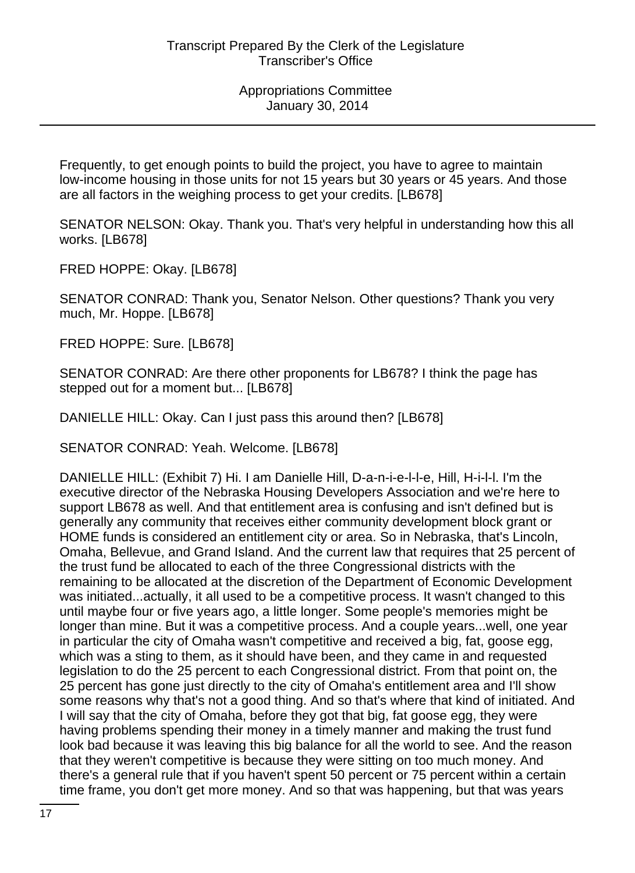Frequently, to get enough points to build the project, you have to agree to maintain low-income housing in those units for not 15 years but 30 years or 45 years. And those are all factors in the weighing process to get your credits. [LB678]

SENATOR NELSON: Okay. Thank you. That's very helpful in understanding how this all works. [LB678]

FRED HOPPE: Okay. [LB678]

SENATOR CONRAD: Thank you, Senator Nelson. Other questions? Thank you very much, Mr. Hoppe. [LB678]

FRED HOPPE: Sure. [LB678]

SENATOR CONRAD: Are there other proponents for LB678? I think the page has stepped out for a moment but... [LB678]

DANIELLE HILL: Okay. Can I just pass this around then? [LB678]

SENATOR CONRAD: Yeah. Welcome. [LB678]

DANIELLE HILL: (Exhibit 7) Hi. I am Danielle Hill, D-a-n-i-e-l-l-e, Hill, H-i-l-l. I'm the executive director of the Nebraska Housing Developers Association and we're here to support LB678 as well. And that entitlement area is confusing and isn't defined but is generally any community that receives either community development block grant or HOME funds is considered an entitlement city or area. So in Nebraska, that's Lincoln, Omaha, Bellevue, and Grand Island. And the current law that requires that 25 percent of the trust fund be allocated to each of the three Congressional districts with the remaining to be allocated at the discretion of the Department of Economic Development was initiated...actually, it all used to be a competitive process. It wasn't changed to this until maybe four or five years ago, a little longer. Some people's memories might be longer than mine. But it was a competitive process. And a couple years...well, one year in particular the city of Omaha wasn't competitive and received a big, fat, goose egg, which was a sting to them, as it should have been, and they came in and requested legislation to do the 25 percent to each Congressional district. From that point on, the 25 percent has gone just directly to the city of Omaha's entitlement area and I'll show some reasons why that's not a good thing. And so that's where that kind of initiated. And I will say that the city of Omaha, before they got that big, fat goose egg, they were having problems spending their money in a timely manner and making the trust fund look bad because it was leaving this big balance for all the world to see. And the reason that they weren't competitive is because they were sitting on too much money. And there's a general rule that if you haven't spent 50 percent or 75 percent within a certain time frame, you don't get more money. And so that was happening, but that was years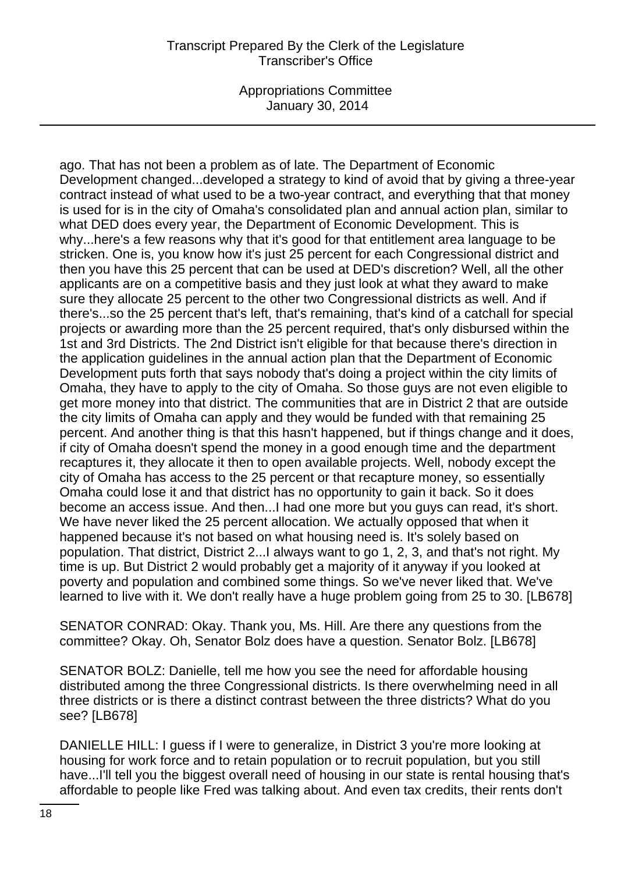Appropriations Committee January 30, 2014

ago. That has not been a problem as of late. The Department of Economic Development changed...developed a strategy to kind of avoid that by giving a three-year contract instead of what used to be a two-year contract, and everything that that money is used for is in the city of Omaha's consolidated plan and annual action plan, similar to what DED does every year, the Department of Economic Development. This is why...here's a few reasons why that it's good for that entitlement area language to be stricken. One is, you know how it's just 25 percent for each Congressional district and then you have this 25 percent that can be used at DED's discretion? Well, all the other applicants are on a competitive basis and they just look at what they award to make sure they allocate 25 percent to the other two Congressional districts as well. And if there's...so the 25 percent that's left, that's remaining, that's kind of a catchall for special projects or awarding more than the 25 percent required, that's only disbursed within the 1st and 3rd Districts. The 2nd District isn't eligible for that because there's direction in the application guidelines in the annual action plan that the Department of Economic Development puts forth that says nobody that's doing a project within the city limits of Omaha, they have to apply to the city of Omaha. So those guys are not even eligible to get more money into that district. The communities that are in District 2 that are outside the city limits of Omaha can apply and they would be funded with that remaining 25 percent. And another thing is that this hasn't happened, but if things change and it does, if city of Omaha doesn't spend the money in a good enough time and the department recaptures it, they allocate it then to open available projects. Well, nobody except the city of Omaha has access to the 25 percent or that recapture money, so essentially Omaha could lose it and that district has no opportunity to gain it back. So it does become an access issue. And then...I had one more but you guys can read, it's short. We have never liked the 25 percent allocation. We actually opposed that when it happened because it's not based on what housing need is. It's solely based on population. That district, District 2...I always want to go 1, 2, 3, and that's not right. My time is up. But District 2 would probably get a majority of it anyway if you looked at poverty and population and combined some things. So we've never liked that. We've learned to live with it. We don't really have a huge problem going from 25 to 30. [LB678]

SENATOR CONRAD: Okay. Thank you, Ms. Hill. Are there any questions from the committee? Okay. Oh, Senator Bolz does have a question. Senator Bolz. [LB678]

SENATOR BOLZ: Danielle, tell me how you see the need for affordable housing distributed among the three Congressional districts. Is there overwhelming need in all three districts or is there a distinct contrast between the three districts? What do you see? [LB678]

DANIELLE HILL: I guess if I were to generalize, in District 3 you're more looking at housing for work force and to retain population or to recruit population, but you still have...I'll tell you the biggest overall need of housing in our state is rental housing that's affordable to people like Fred was talking about. And even tax credits, their rents don't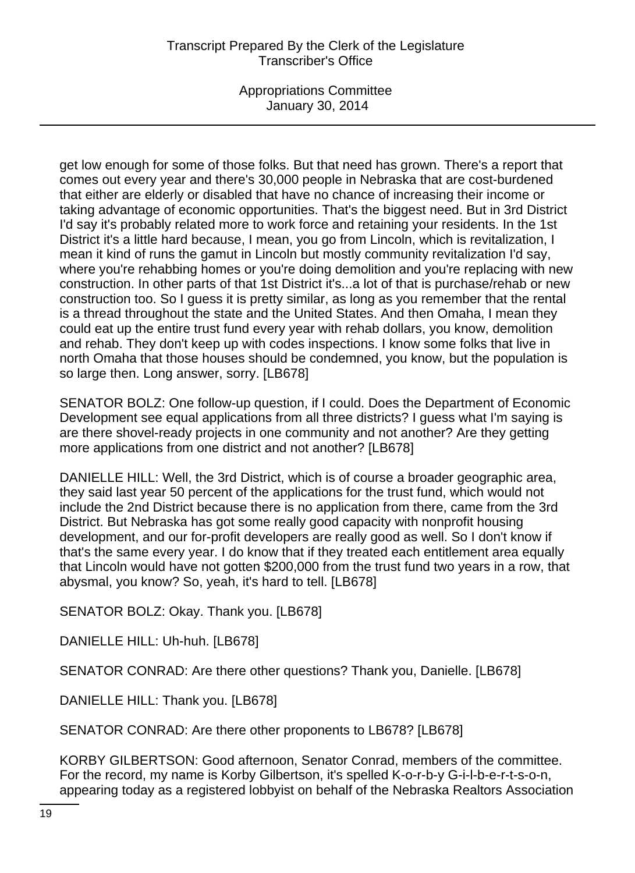Appropriations Committee January 30, 2014

get low enough for some of those folks. But that need has grown. There's a report that comes out every year and there's 30,000 people in Nebraska that are cost-burdened that either are elderly or disabled that have no chance of increasing their income or taking advantage of economic opportunities. That's the biggest need. But in 3rd District I'd say it's probably related more to work force and retaining your residents. In the 1st District it's a little hard because, I mean, you go from Lincoln, which is revitalization, I mean it kind of runs the gamut in Lincoln but mostly community revitalization I'd say, where you're rehabbing homes or you're doing demolition and you're replacing with new construction. In other parts of that 1st District it's...a lot of that is purchase/rehab or new construction too. So I guess it is pretty similar, as long as you remember that the rental is a thread throughout the state and the United States. And then Omaha, I mean they could eat up the entire trust fund every year with rehab dollars, you know, demolition and rehab. They don't keep up with codes inspections. I know some folks that live in north Omaha that those houses should be condemned, you know, but the population is so large then. Long answer, sorry. [LB678]

SENATOR BOLZ: One follow-up question, if I could. Does the Department of Economic Development see equal applications from all three districts? I guess what I'm saying is are there shovel-ready projects in one community and not another? Are they getting more applications from one district and not another? [LB678]

DANIELLE HILL: Well, the 3rd District, which is of course a broader geographic area, they said last year 50 percent of the applications for the trust fund, which would not include the 2nd District because there is no application from there, came from the 3rd District. But Nebraska has got some really good capacity with nonprofit housing development, and our for-profit developers are really good as well. So I don't know if that's the same every year. I do know that if they treated each entitlement area equally that Lincoln would have not gotten \$200,000 from the trust fund two years in a row, that abysmal, you know? So, yeah, it's hard to tell. [LB678]

SENATOR BOLZ: Okay. Thank you. [LB678]

DANIELLE HILL: Uh-huh. [LB678]

SENATOR CONRAD: Are there other questions? Thank you, Danielle. [LB678]

DANIELLE HILL: Thank you. [LB678]

SENATOR CONRAD: Are there other proponents to LB678? [LB678]

KORBY GILBERTSON: Good afternoon, Senator Conrad, members of the committee. For the record, my name is Korby Gilbertson, it's spelled K-o-r-b-y G-i-l-b-e-r-t-s-o-n, appearing today as a registered lobbyist on behalf of the Nebraska Realtors Association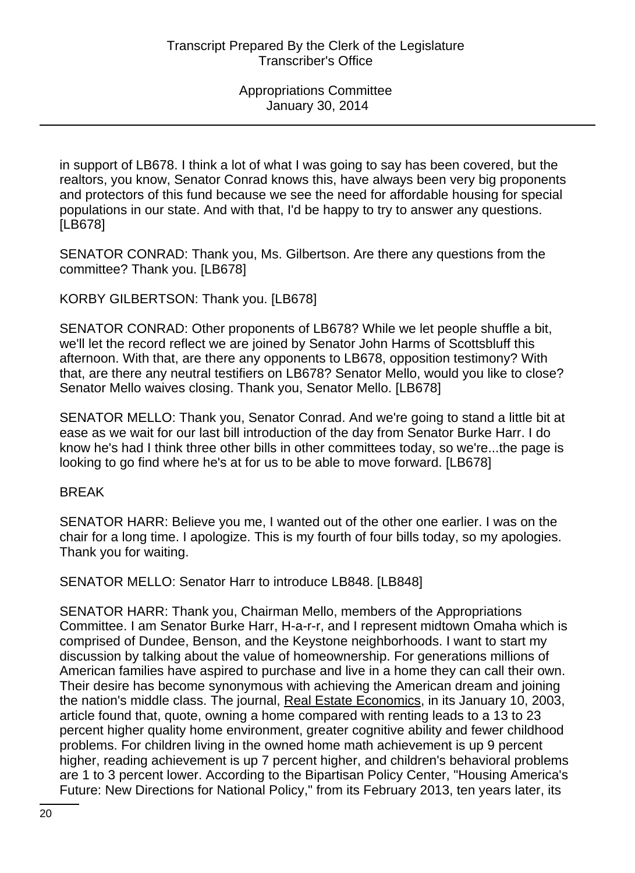in support of LB678. I think a lot of what I was going to say has been covered, but the realtors, you know, Senator Conrad knows this, have always been very big proponents and protectors of this fund because we see the need for affordable housing for special populations in our state. And with that, I'd be happy to try to answer any questions. [LB678]

SENATOR CONRAD: Thank you, Ms. Gilbertson. Are there any questions from the committee? Thank you. [LB678]

KORBY GILBERTSON: Thank you. [LB678]

SENATOR CONRAD: Other proponents of LB678? While we let people shuffle a bit, we'll let the record reflect we are joined by Senator John Harms of Scottsbluff this afternoon. With that, are there any opponents to LB678, opposition testimony? With that, are there any neutral testifiers on LB678? Senator Mello, would you like to close? Senator Mello waives closing. Thank you, Senator Mello. [LB678]

SENATOR MELLO: Thank you, Senator Conrad. And we're going to stand a little bit at ease as we wait for our last bill introduction of the day from Senator Burke Harr. I do know he's had I think three other bills in other committees today, so we're...the page is looking to go find where he's at for us to be able to move forward. [LB678]

#### BREAK

SENATOR HARR: Believe you me, I wanted out of the other one earlier. I was on the chair for a long time. I apologize. This is my fourth of four bills today, so my apologies. Thank you for waiting.

SENATOR MELLO: Senator Harr to introduce LB848. [LB848]

SENATOR HARR: Thank you, Chairman Mello, members of the Appropriations Committee. I am Senator Burke Harr, H-a-r-r, and I represent midtown Omaha which is comprised of Dundee, Benson, and the Keystone neighborhoods. I want to start my discussion by talking about the value of homeownership. For generations millions of American families have aspired to purchase and live in a home they can call their own. Their desire has become synonymous with achieving the American dream and joining the nation's middle class. The journal, Real Estate Economics, in its January 10, 2003, article found that, quote, owning a home compared with renting leads to a 13 to 23 percent higher quality home environment, greater cognitive ability and fewer childhood problems. For children living in the owned home math achievement is up 9 percent higher, reading achievement is up 7 percent higher, and children's behavioral problems are 1 to 3 percent lower. According to the Bipartisan Policy Center, "Housing America's Future: New Directions for National Policy," from its February 2013, ten years later, its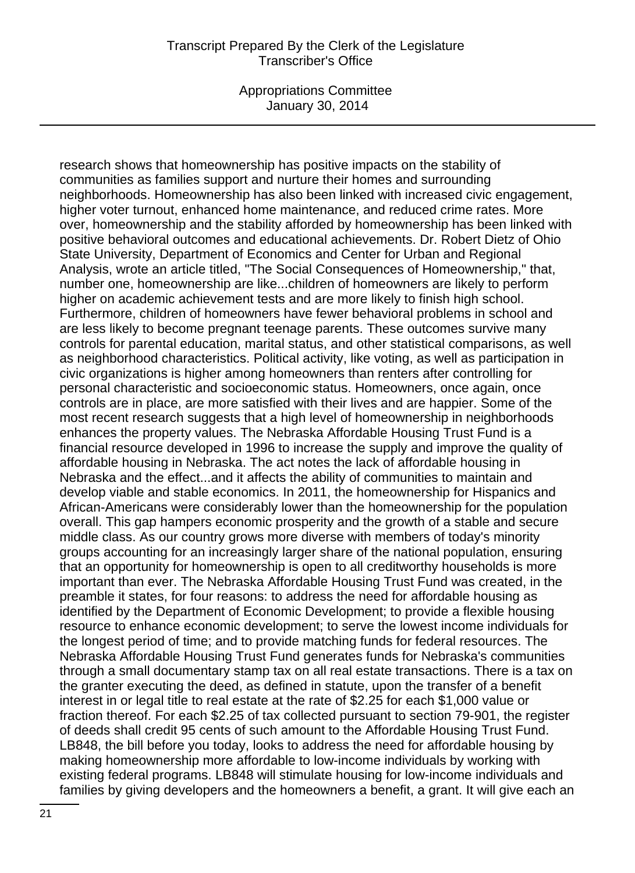Appropriations Committee January 30, 2014

research shows that homeownership has positive impacts on the stability of communities as families support and nurture their homes and surrounding neighborhoods. Homeownership has also been linked with increased civic engagement, higher voter turnout, enhanced home maintenance, and reduced crime rates. More over, homeownership and the stability afforded by homeownership has been linked with positive behavioral outcomes and educational achievements. Dr. Robert Dietz of Ohio State University, Department of Economics and Center for Urban and Regional Analysis, wrote an article titled, "The Social Consequences of Homeownership," that, number one, homeownership are like...children of homeowners are likely to perform higher on academic achievement tests and are more likely to finish high school. Furthermore, children of homeowners have fewer behavioral problems in school and are less likely to become pregnant teenage parents. These outcomes survive many controls for parental education, marital status, and other statistical comparisons, as well as neighborhood characteristics. Political activity, like voting, as well as participation in civic organizations is higher among homeowners than renters after controlling for personal characteristic and socioeconomic status. Homeowners, once again, once controls are in place, are more satisfied with their lives and are happier. Some of the most recent research suggests that a high level of homeownership in neighborhoods enhances the property values. The Nebraska Affordable Housing Trust Fund is a financial resource developed in 1996 to increase the supply and improve the quality of affordable housing in Nebraska. The act notes the lack of affordable housing in Nebraska and the effect...and it affects the ability of communities to maintain and develop viable and stable economics. In 2011, the homeownership for Hispanics and African-Americans were considerably lower than the homeownership for the population overall. This gap hampers economic prosperity and the growth of a stable and secure middle class. As our country grows more diverse with members of today's minority groups accounting for an increasingly larger share of the national population, ensuring that an opportunity for homeownership is open to all creditworthy households is more important than ever. The Nebraska Affordable Housing Trust Fund was created, in the preamble it states, for four reasons: to address the need for affordable housing as identified by the Department of Economic Development; to provide a flexible housing resource to enhance economic development; to serve the lowest income individuals for the longest period of time; and to provide matching funds for federal resources. The Nebraska Affordable Housing Trust Fund generates funds for Nebraska's communities through a small documentary stamp tax on all real estate transactions. There is a tax on the granter executing the deed, as defined in statute, upon the transfer of a benefit interest in or legal title to real estate at the rate of \$2.25 for each \$1,000 value or fraction thereof. For each \$2.25 of tax collected pursuant to section 79-901, the register of deeds shall credit 95 cents of such amount to the Affordable Housing Trust Fund. LB848, the bill before you today, looks to address the need for affordable housing by making homeownership more affordable to low-income individuals by working with existing federal programs. LB848 will stimulate housing for low-income individuals and families by giving developers and the homeowners a benefit, a grant. It will give each an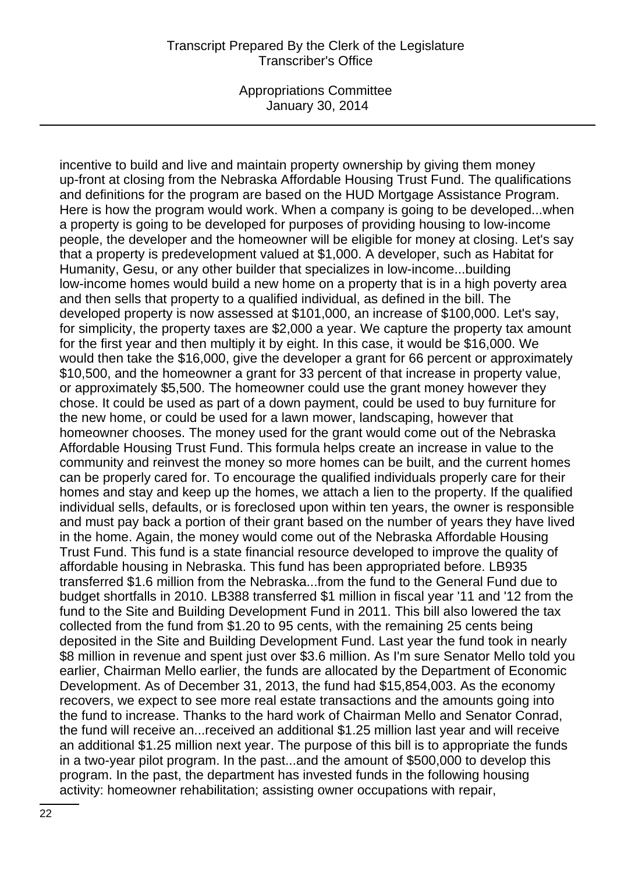Appropriations Committee January 30, 2014

incentive to build and live and maintain property ownership by giving them money up-front at closing from the Nebraska Affordable Housing Trust Fund. The qualifications and definitions for the program are based on the HUD Mortgage Assistance Program. Here is how the program would work. When a company is going to be developed...when a property is going to be developed for purposes of providing housing to low-income people, the developer and the homeowner will be eligible for money at closing. Let's say that a property is predevelopment valued at \$1,000. A developer, such as Habitat for Humanity, Gesu, or any other builder that specializes in low-income...building low-income homes would build a new home on a property that is in a high poverty area and then sells that property to a qualified individual, as defined in the bill. The developed property is now assessed at \$101,000, an increase of \$100,000. Let's say, for simplicity, the property taxes are \$2,000 a year. We capture the property tax amount for the first year and then multiply it by eight. In this case, it would be \$16,000. We would then take the \$16,000, give the developer a grant for 66 percent or approximately \$10,500, and the homeowner a grant for 33 percent of that increase in property value, or approximately \$5,500. The homeowner could use the grant money however they chose. It could be used as part of a down payment, could be used to buy furniture for the new home, or could be used for a lawn mower, landscaping, however that homeowner chooses. The money used for the grant would come out of the Nebraska Affordable Housing Trust Fund. This formula helps create an increase in value to the community and reinvest the money so more homes can be built, and the current homes can be properly cared for. To encourage the qualified individuals properly care for their homes and stay and keep up the homes, we attach a lien to the property. If the qualified individual sells, defaults, or is foreclosed upon within ten years, the owner is responsible and must pay back a portion of their grant based on the number of years they have lived in the home. Again, the money would come out of the Nebraska Affordable Housing Trust Fund. This fund is a state financial resource developed to improve the quality of affordable housing in Nebraska. This fund has been appropriated before. LB935 transferred \$1.6 million from the Nebraska...from the fund to the General Fund due to budget shortfalls in 2010. LB388 transferred \$1 million in fiscal year '11 and '12 from the fund to the Site and Building Development Fund in 2011. This bill also lowered the tax collected from the fund from \$1.20 to 95 cents, with the remaining 25 cents being deposited in the Site and Building Development Fund. Last year the fund took in nearly \$8 million in revenue and spent just over \$3.6 million. As I'm sure Senator Mello told you earlier, Chairman Mello earlier, the funds are allocated by the Department of Economic Development. As of December 31, 2013, the fund had \$15,854,003. As the economy recovers, we expect to see more real estate transactions and the amounts going into the fund to increase. Thanks to the hard work of Chairman Mello and Senator Conrad, the fund will receive an...received an additional \$1.25 million last year and will receive an additional \$1.25 million next year. The purpose of this bill is to appropriate the funds in a two-year pilot program. In the past...and the amount of \$500,000 to develop this program. In the past, the department has invested funds in the following housing activity: homeowner rehabilitation; assisting owner occupations with repair,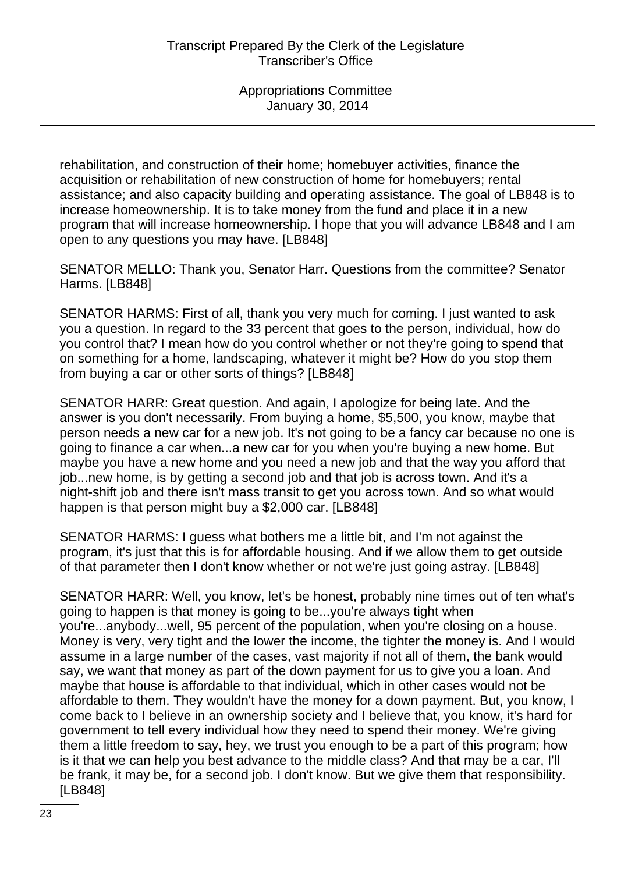rehabilitation, and construction of their home; homebuyer activities, finance the acquisition or rehabilitation of new construction of home for homebuyers; rental assistance; and also capacity building and operating assistance. The goal of LB848 is to increase homeownership. It is to take money from the fund and place it in a new program that will increase homeownership. I hope that you will advance LB848 and I am open to any questions you may have. [LB848]

SENATOR MELLO: Thank you, Senator Harr. Questions from the committee? Senator Harms. [LB848]

SENATOR HARMS: First of all, thank you very much for coming. I just wanted to ask you a question. In regard to the 33 percent that goes to the person, individual, how do you control that? I mean how do you control whether or not they're going to spend that on something for a home, landscaping, whatever it might be? How do you stop them from buying a car or other sorts of things? [LB848]

SENATOR HARR: Great question. And again, I apologize for being late. And the answer is you don't necessarily. From buying a home, \$5,500, you know, maybe that person needs a new car for a new job. It's not going to be a fancy car because no one is going to finance a car when...a new car for you when you're buying a new home. But maybe you have a new home and you need a new job and that the way you afford that job...new home, is by getting a second job and that job is across town. And it's a night-shift job and there isn't mass transit to get you across town. And so what would happen is that person might buy a \$2,000 car. [LB848]

SENATOR HARMS: I guess what bothers me a little bit, and I'm not against the program, it's just that this is for affordable housing. And if we allow them to get outside of that parameter then I don't know whether or not we're just going astray. [LB848]

SENATOR HARR: Well, you know, let's be honest, probably nine times out of ten what's going to happen is that money is going to be...you're always tight when you're...anybody...well, 95 percent of the population, when you're closing on a house. Money is very, very tight and the lower the income, the tighter the money is. And I would assume in a large number of the cases, vast majority if not all of them, the bank would say, we want that money as part of the down payment for us to give you a loan. And maybe that house is affordable to that individual, which in other cases would not be affordable to them. They wouldn't have the money for a down payment. But, you know, I come back to I believe in an ownership society and I believe that, you know, it's hard for government to tell every individual how they need to spend their money. We're giving them a little freedom to say, hey, we trust you enough to be a part of this program; how is it that we can help you best advance to the middle class? And that may be a car, I'll be frank, it may be, for a second job. I don't know. But we give them that responsibility. [LB848]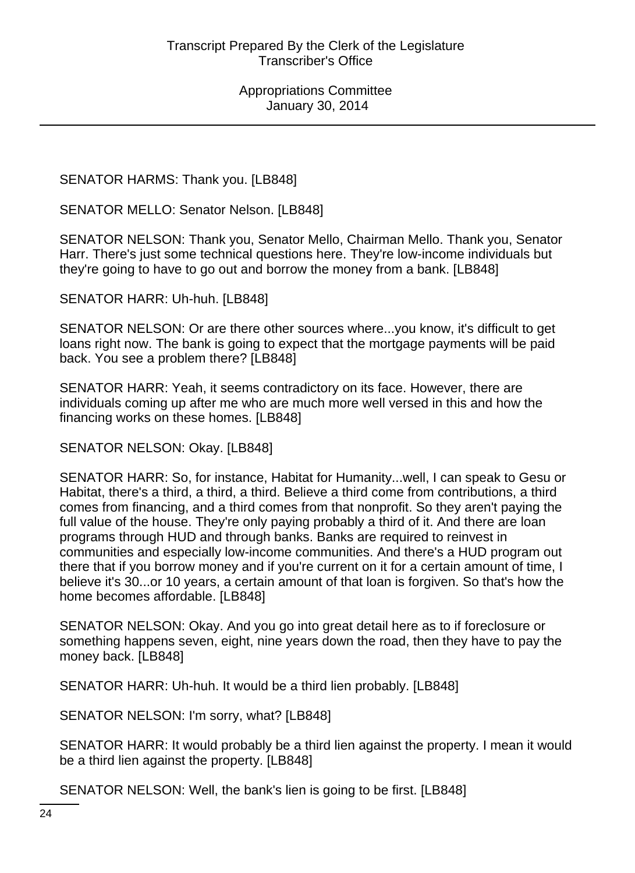SENATOR HARMS: Thank you. [LB848]

SENATOR MELLO: Senator Nelson. [LB848]

SENATOR NELSON: Thank you, Senator Mello, Chairman Mello. Thank you, Senator Harr. There's just some technical questions here. They're low-income individuals but they're going to have to go out and borrow the money from a bank. [LB848]

SENATOR HARR: Uh-huh. [LB848]

SENATOR NELSON: Or are there other sources where...you know, it's difficult to get loans right now. The bank is going to expect that the mortgage payments will be paid back. You see a problem there? [LB848]

SENATOR HARR: Yeah, it seems contradictory on its face. However, there are individuals coming up after me who are much more well versed in this and how the financing works on these homes. [LB848]

SENATOR NELSON: Okay. [LB848]

SENATOR HARR: So, for instance, Habitat for Humanity...well, I can speak to Gesu or Habitat, there's a third, a third, a third. Believe a third come from contributions, a third comes from financing, and a third comes from that nonprofit. So they aren't paying the full value of the house. They're only paying probably a third of it. And there are loan programs through HUD and through banks. Banks are required to reinvest in communities and especially low-income communities. And there's a HUD program out there that if you borrow money and if you're current on it for a certain amount of time, I believe it's 30...or 10 years, a certain amount of that loan is forgiven. So that's how the home becomes affordable. [LB848]

SENATOR NELSON: Okay. And you go into great detail here as to if foreclosure or something happens seven, eight, nine years down the road, then they have to pay the money back. [LB848]

SENATOR HARR: Uh-huh. It would be a third lien probably. [LB848]

SENATOR NELSON: I'm sorry, what? [LB848]

SENATOR HARR: It would probably be a third lien against the property. I mean it would be a third lien against the property. [LB848]

SENATOR NELSON: Well, the bank's lien is going to be first. [LB848]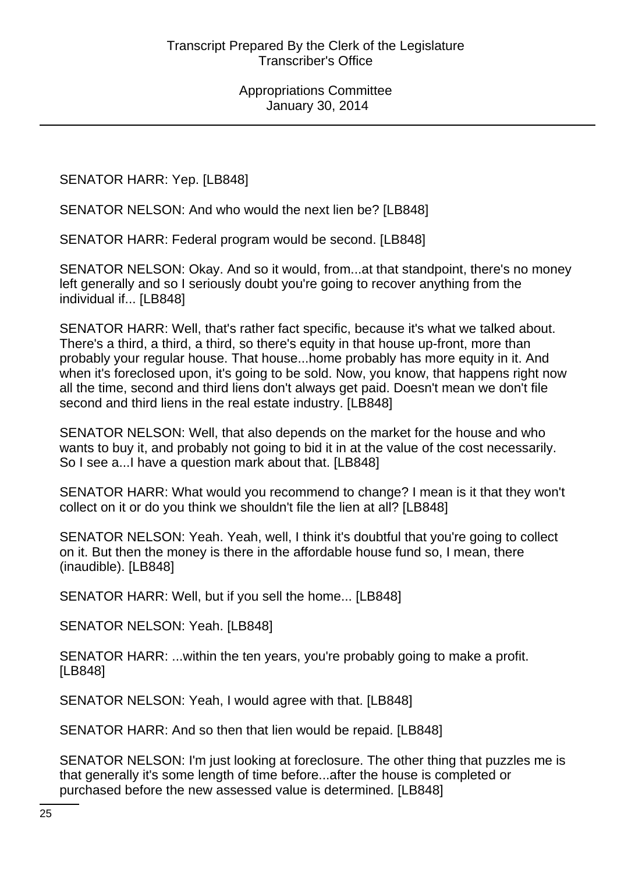SENATOR HARR: Yep. [LB848]

SENATOR NELSON: And who would the next lien be? [LB848]

SENATOR HARR: Federal program would be second. [LB848]

SENATOR NELSON: Okay. And so it would, from...at that standpoint, there's no money left generally and so I seriously doubt you're going to recover anything from the individual if... [LB848]

SENATOR HARR: Well, that's rather fact specific, because it's what we talked about. There's a third, a third, a third, so there's equity in that house up-front, more than probably your regular house. That house...home probably has more equity in it. And when it's foreclosed upon, it's going to be sold. Now, you know, that happens right now all the time, second and third liens don't always get paid. Doesn't mean we don't file second and third liens in the real estate industry. [LB848]

SENATOR NELSON: Well, that also depends on the market for the house and who wants to buy it, and probably not going to bid it in at the value of the cost necessarily. So I see a...I have a question mark about that. [LB848]

SENATOR HARR: What would you recommend to change? I mean is it that they won't collect on it or do you think we shouldn't file the lien at all? [LB848]

SENATOR NELSON: Yeah. Yeah, well, I think it's doubtful that you're going to collect on it. But then the money is there in the affordable house fund so, I mean, there (inaudible). [LB848]

SENATOR HARR: Well, but if you sell the home... [LB848]

SENATOR NELSON: Yeah. [LB848]

SENATOR HARR: ...within the ten years, you're probably going to make a profit. [LB848]

SENATOR NELSON: Yeah, I would agree with that. [LB848]

SENATOR HARR: And so then that lien would be repaid. [LB848]

SENATOR NELSON: I'm just looking at foreclosure. The other thing that puzzles me is that generally it's some length of time before...after the house is completed or purchased before the new assessed value is determined. [LB848]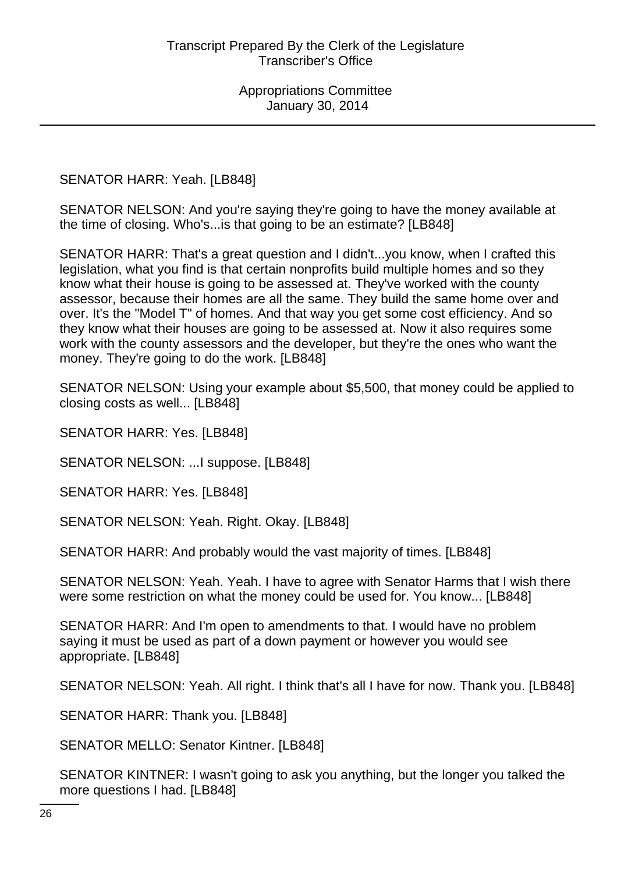SENATOR HARR: Yeah. [LB848]

SENATOR NELSON: And you're saying they're going to have the money available at the time of closing. Who's...is that going to be an estimate? [LB848]

SENATOR HARR: That's a great question and I didn't...you know, when I crafted this legislation, what you find is that certain nonprofits build multiple homes and so they know what their house is going to be assessed at. They've worked with the county assessor, because their homes are all the same. They build the same home over and over. It's the "Model T" of homes. And that way you get some cost efficiency. And so they know what their houses are going to be assessed at. Now it also requires some work with the county assessors and the developer, but they're the ones who want the money. They're going to do the work. [LB848]

SENATOR NELSON: Using your example about \$5,500, that money could be applied to closing costs as well... [LB848]

SENATOR HARR: Yes. [LB848]

SENATOR NELSON: ... I suppose. [LB848]

SENATOR HARR: Yes. [LB848]

SENATOR NELSON: Yeah. Right. Okay. [LB848]

SENATOR HARR: And probably would the vast majority of times. [LB848]

SENATOR NELSON: Yeah. Yeah. I have to agree with Senator Harms that I wish there were some restriction on what the money could be used for. You know... [LB848]

SENATOR HARR: And I'm open to amendments to that. I would have no problem saying it must be used as part of a down payment or however you would see appropriate. [LB848]

SENATOR NELSON: Yeah. All right. I think that's all I have for now. Thank you. [LB848]

SENATOR HARR: Thank you. [LB848]

SENATOR MELLO: Senator Kintner. [LB848]

SENATOR KINTNER: I wasn't going to ask you anything, but the longer you talked the more questions I had. [LB848]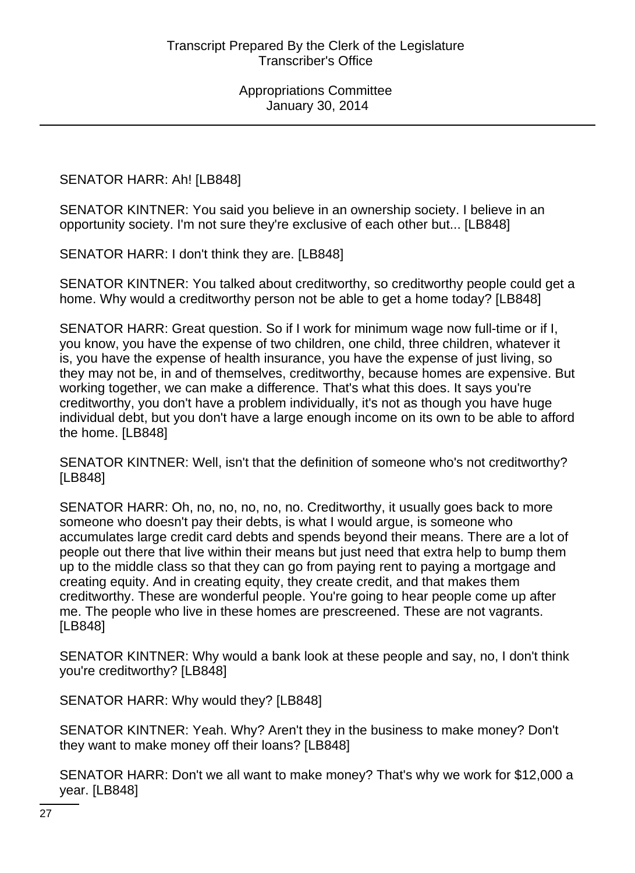SENATOR HARR: Ah! [LB848]

SENATOR KINTNER: You said you believe in an ownership society. I believe in an opportunity society. I'm not sure they're exclusive of each other but... [LB848]

SENATOR HARR: I don't think they are. [LB848]

SENATOR KINTNER: You talked about creditworthy, so creditworthy people could get a home. Why would a creditworthy person not be able to get a home today? [LB848]

SENATOR HARR: Great question. So if I work for minimum wage now full-time or if I, you know, you have the expense of two children, one child, three children, whatever it is, you have the expense of health insurance, you have the expense of just living, so they may not be, in and of themselves, creditworthy, because homes are expensive. But working together, we can make a difference. That's what this does. It says you're creditworthy, you don't have a problem individually, it's not as though you have huge individual debt, but you don't have a large enough income on its own to be able to afford the home. [LB848]

SENATOR KINTNER: Well, isn't that the definition of someone who's not creditworthy? [LB848]

SENATOR HARR: Oh, no, no, no, no, no. Creditworthy, it usually goes back to more someone who doesn't pay their debts, is what I would argue, is someone who accumulates large credit card debts and spends beyond their means. There are a lot of people out there that live within their means but just need that extra help to bump them up to the middle class so that they can go from paying rent to paying a mortgage and creating equity. And in creating equity, they create credit, and that makes them creditworthy. These are wonderful people. You're going to hear people come up after me. The people who live in these homes are prescreened. These are not vagrants. [LB848]

SENATOR KINTNER: Why would a bank look at these people and say, no, I don't think you're creditworthy? [LB848]

SENATOR HARR: Why would they? [LB848]

SENATOR KINTNER: Yeah. Why? Aren't they in the business to make money? Don't they want to make money off their loans? [LB848]

SENATOR HARR: Don't we all want to make money? That's why we work for \$12,000 a year. [LB848]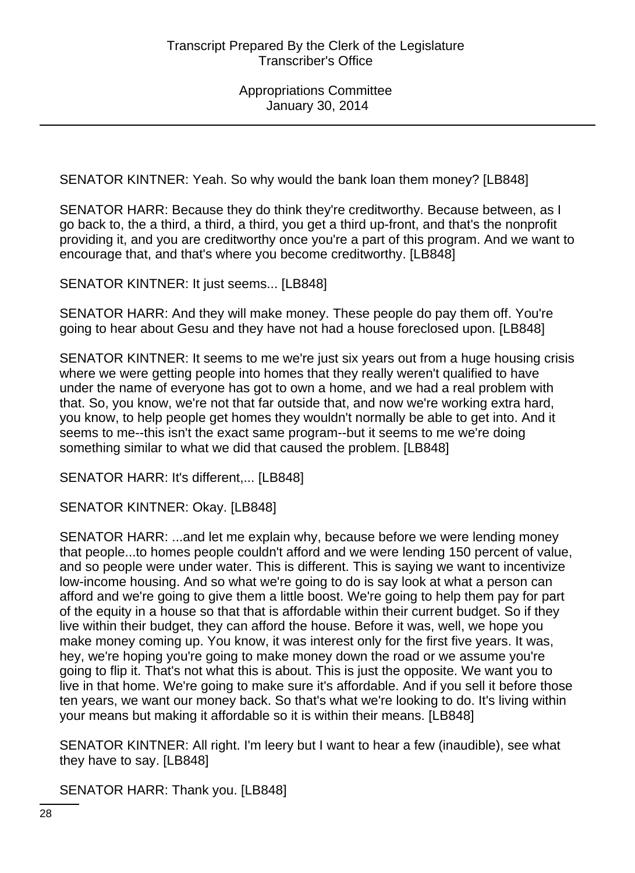SENATOR KINTNER: Yeah. So why would the bank loan them money? [LB848]

SENATOR HARR: Because they do think they're creditworthy. Because between, as I go back to, the a third, a third, a third, you get a third up-front, and that's the nonprofit providing it, and you are creditworthy once you're a part of this program. And we want to encourage that, and that's where you become creditworthy. [LB848]

SENATOR KINTNER: It just seems... [LB848]

SENATOR HARR: And they will make money. These people do pay them off. You're going to hear about Gesu and they have not had a house foreclosed upon. [LB848]

SENATOR KINTNER: It seems to me we're just six years out from a huge housing crisis where we were getting people into homes that they really weren't qualified to have under the name of everyone has got to own a home, and we had a real problem with that. So, you know, we're not that far outside that, and now we're working extra hard, you know, to help people get homes they wouldn't normally be able to get into. And it seems to me--this isn't the exact same program--but it seems to me we're doing something similar to what we did that caused the problem. [LB848]

SENATOR HARR: It's different,... [LB848]

SENATOR KINTNER: Okay. [LB848]

SENATOR HARR: ...and let me explain why, because before we were lending money that people...to homes people couldn't afford and we were lending 150 percent of value, and so people were under water. This is different. This is saying we want to incentivize low-income housing. And so what we're going to do is say look at what a person can afford and we're going to give them a little boost. We're going to help them pay for part of the equity in a house so that that is affordable within their current budget. So if they live within their budget, they can afford the house. Before it was, well, we hope you make money coming up. You know, it was interest only for the first five years. It was, hey, we're hoping you're going to make money down the road or we assume you're going to flip it. That's not what this is about. This is just the opposite. We want you to live in that home. We're going to make sure it's affordable. And if you sell it before those ten years, we want our money back. So that's what we're looking to do. It's living within your means but making it affordable so it is within their means. [LB848]

SENATOR KINTNER: All right. I'm leery but I want to hear a few (inaudible), see what they have to say. [LB848]

SENATOR HARR: Thank you. [LB848]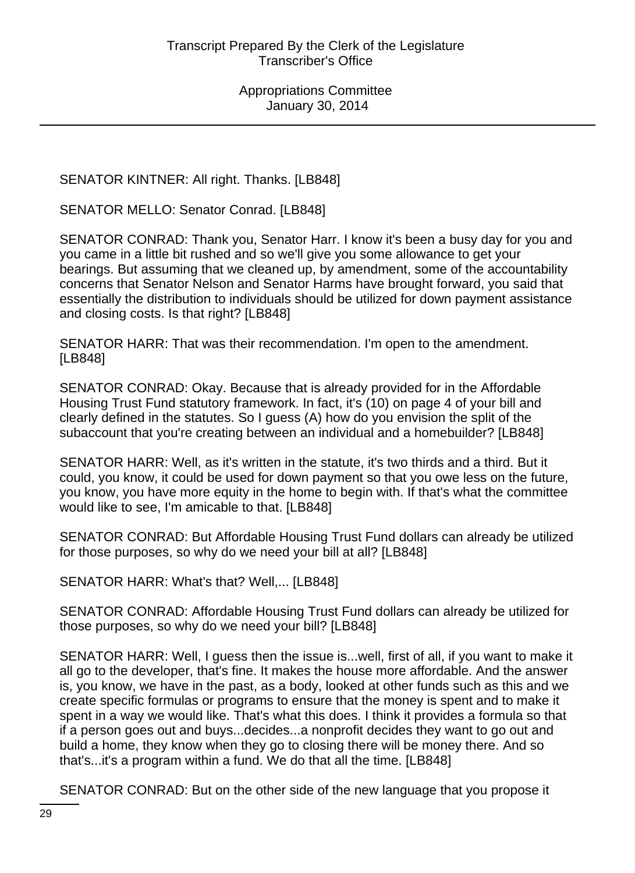SENATOR KINTNER: All right. Thanks. [LB848]

SENATOR MELLO: Senator Conrad. [LB848]

SENATOR CONRAD: Thank you, Senator Harr. I know it's been a busy day for you and you came in a little bit rushed and so we'll give you some allowance to get your bearings. But assuming that we cleaned up, by amendment, some of the accountability concerns that Senator Nelson and Senator Harms have brought forward, you said that essentially the distribution to individuals should be utilized for down payment assistance and closing costs. Is that right? [LB848]

SENATOR HARR: That was their recommendation. I'm open to the amendment. [LB848]

SENATOR CONRAD: Okay. Because that is already provided for in the Affordable Housing Trust Fund statutory framework. In fact, it's (10) on page 4 of your bill and clearly defined in the statutes. So I guess (A) how do you envision the split of the subaccount that you're creating between an individual and a homebuilder? [LB848]

SENATOR HARR: Well, as it's written in the statute, it's two thirds and a third. But it could, you know, it could be used for down payment so that you owe less on the future, you know, you have more equity in the home to begin with. If that's what the committee would like to see, I'm amicable to that. [LB848]

SENATOR CONRAD: But Affordable Housing Trust Fund dollars can already be utilized for those purposes, so why do we need your bill at all? [LB848]

SENATOR HARR: What's that? Well,... [LB848]

SENATOR CONRAD: Affordable Housing Trust Fund dollars can already be utilized for those purposes, so why do we need your bill? [LB848]

SENATOR HARR: Well, I guess then the issue is...well, first of all, if you want to make it all go to the developer, that's fine. It makes the house more affordable. And the answer is, you know, we have in the past, as a body, looked at other funds such as this and we create specific formulas or programs to ensure that the money is spent and to make it spent in a way we would like. That's what this does. I think it provides a formula so that if a person goes out and buys...decides...a nonprofit decides they want to go out and build a home, they know when they go to closing there will be money there. And so that's...it's a program within a fund. We do that all the time. [LB848]

SENATOR CONRAD: But on the other side of the new language that you propose it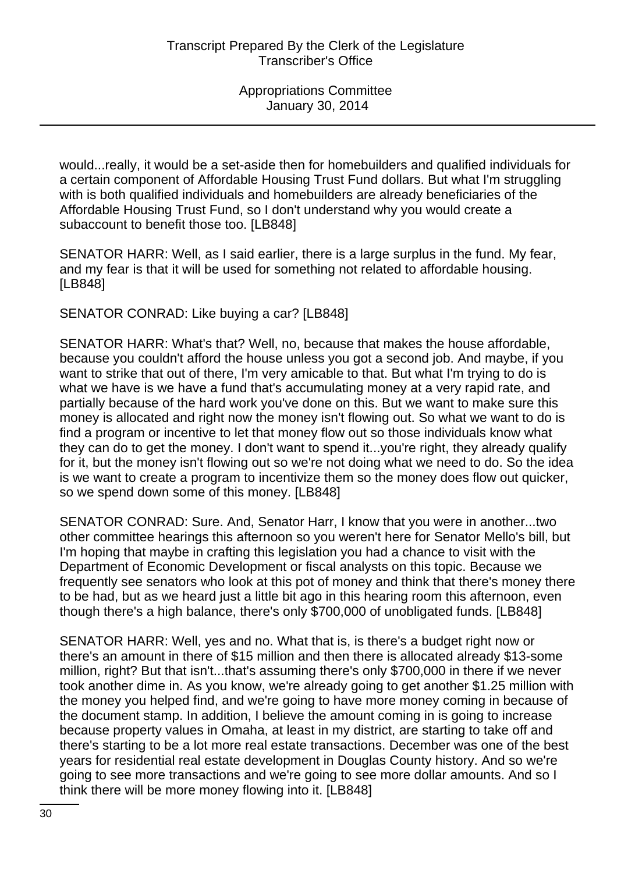would...really, it would be a set-aside then for homebuilders and qualified individuals for a certain component of Affordable Housing Trust Fund dollars. But what I'm struggling with is both qualified individuals and homebuilders are already beneficiaries of the Affordable Housing Trust Fund, so I don't understand why you would create a subaccount to benefit those too. [LB848]

SENATOR HARR: Well, as I said earlier, there is a large surplus in the fund. My fear, and my fear is that it will be used for something not related to affordable housing. [LB848]

SENATOR CONRAD: Like buying a car? [LB848]

SENATOR HARR: What's that? Well, no, because that makes the house affordable, because you couldn't afford the house unless you got a second job. And maybe, if you want to strike that out of there, I'm very amicable to that. But what I'm trying to do is what we have is we have a fund that's accumulating money at a very rapid rate, and partially because of the hard work you've done on this. But we want to make sure this money is allocated and right now the money isn't flowing out. So what we want to do is find a program or incentive to let that money flow out so those individuals know what they can do to get the money. I don't want to spend it...you're right, they already qualify for it, but the money isn't flowing out so we're not doing what we need to do. So the idea is we want to create a program to incentivize them so the money does flow out quicker, so we spend down some of this money. [LB848]

SENATOR CONRAD: Sure. And, Senator Harr, I know that you were in another...two other committee hearings this afternoon so you weren't here for Senator Mello's bill, but I'm hoping that maybe in crafting this legislation you had a chance to visit with the Department of Economic Development or fiscal analysts on this topic. Because we frequently see senators who look at this pot of money and think that there's money there to be had, but as we heard just a little bit ago in this hearing room this afternoon, even though there's a high balance, there's only \$700,000 of unobligated funds. [LB848]

SENATOR HARR: Well, yes and no. What that is, is there's a budget right now or there's an amount in there of \$15 million and then there is allocated already \$13-some million, right? But that isn't...that's assuming there's only \$700,000 in there if we never took another dime in. As you know, we're already going to get another \$1.25 million with the money you helped find, and we're going to have more money coming in because of the document stamp. In addition, I believe the amount coming in is going to increase because property values in Omaha, at least in my district, are starting to take off and there's starting to be a lot more real estate transactions. December was one of the best years for residential real estate development in Douglas County history. And so we're going to see more transactions and we're going to see more dollar amounts. And so I think there will be more money flowing into it. [LB848]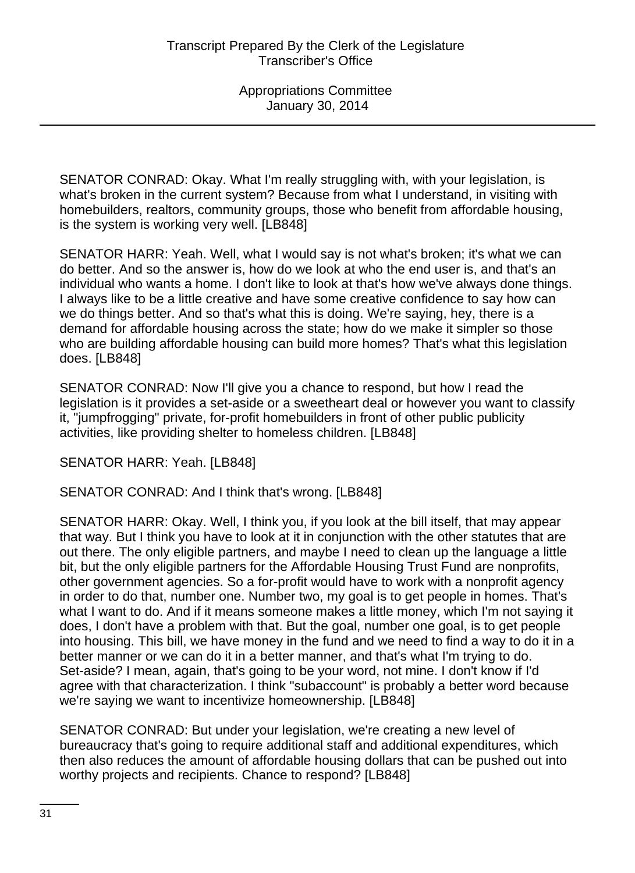SENATOR CONRAD: Okay. What I'm really struggling with, with your legislation, is what's broken in the current system? Because from what I understand, in visiting with homebuilders, realtors, community groups, those who benefit from affordable housing, is the system is working very well. [LB848]

SENATOR HARR: Yeah. Well, what I would say is not what's broken; it's what we can do better. And so the answer is, how do we look at who the end user is, and that's an individual who wants a home. I don't like to look at that's how we've always done things. I always like to be a little creative and have some creative confidence to say how can we do things better. And so that's what this is doing. We're saying, hey, there is a demand for affordable housing across the state; how do we make it simpler so those who are building affordable housing can build more homes? That's what this legislation does. [LB848]

SENATOR CONRAD: Now I'll give you a chance to respond, but how I read the legislation is it provides a set-aside or a sweetheart deal or however you want to classify it, "jumpfrogging" private, for-profit homebuilders in front of other public publicity activities, like providing shelter to homeless children. [LB848]

SENATOR HARR: Yeah. [LB848]

SENATOR CONRAD: And I think that's wrong. [LB848]

SENATOR HARR: Okay. Well, I think you, if you look at the bill itself, that may appear that way. But I think you have to look at it in conjunction with the other statutes that are out there. The only eligible partners, and maybe I need to clean up the language a little bit, but the only eligible partners for the Affordable Housing Trust Fund are nonprofits, other government agencies. So a for-profit would have to work with a nonprofit agency in order to do that, number one. Number two, my goal is to get people in homes. That's what I want to do. And if it means someone makes a little money, which I'm not saying it does, I don't have a problem with that. But the goal, number one goal, is to get people into housing. This bill, we have money in the fund and we need to find a way to do it in a better manner or we can do it in a better manner, and that's what I'm trying to do. Set-aside? I mean, again, that's going to be your word, not mine. I don't know if I'd agree with that characterization. I think "subaccount" is probably a better word because we're saying we want to incentivize homeownership. [LB848]

SENATOR CONRAD: But under your legislation, we're creating a new level of bureaucracy that's going to require additional staff and additional expenditures, which then also reduces the amount of affordable housing dollars that can be pushed out into worthy projects and recipients. Chance to respond? [LB848]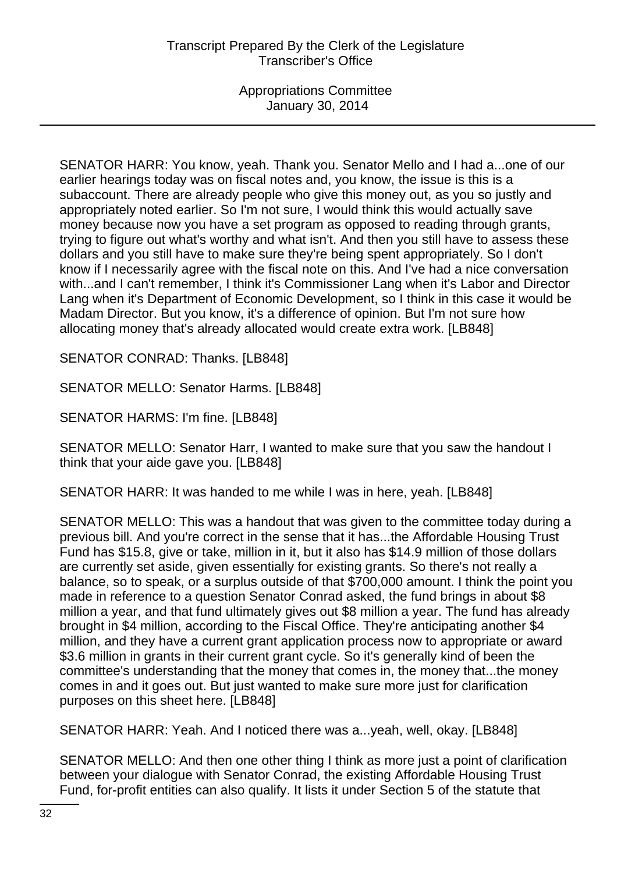SENATOR HARR: You know, yeah. Thank you. Senator Mello and I had a...one of our earlier hearings today was on fiscal notes and, you know, the issue is this is a subaccount. There are already people who give this money out, as you so justly and appropriately noted earlier. So I'm not sure, I would think this would actually save money because now you have a set program as opposed to reading through grants, trying to figure out what's worthy and what isn't. And then you still have to assess these dollars and you still have to make sure they're being spent appropriately. So I don't know if I necessarily agree with the fiscal note on this. And I've had a nice conversation with...and I can't remember, I think it's Commissioner Lang when it's Labor and Director Lang when it's Department of Economic Development, so I think in this case it would be Madam Director. But you know, it's a difference of opinion. But I'm not sure how allocating money that's already allocated would create extra work. [LB848]

SENATOR CONRAD: Thanks. [LB848]

SENATOR MELLO: Senator Harms. [LB848]

SENATOR HARMS: I'm fine. [LB848]

SENATOR MELLO: Senator Harr, I wanted to make sure that you saw the handout I think that your aide gave you. [LB848]

SENATOR HARR: It was handed to me while I was in here, yeah. [LB848]

SENATOR MELLO: This was a handout that was given to the committee today during a previous bill. And you're correct in the sense that it has...the Affordable Housing Trust Fund has \$15.8, give or take, million in it, but it also has \$14.9 million of those dollars are currently set aside, given essentially for existing grants. So there's not really a balance, so to speak, or a surplus outside of that \$700,000 amount. I think the point you made in reference to a question Senator Conrad asked, the fund brings in about \$8 million a year, and that fund ultimately gives out \$8 million a year. The fund has already brought in \$4 million, according to the Fiscal Office. They're anticipating another \$4 million, and they have a current grant application process now to appropriate or award \$3.6 million in grants in their current grant cycle. So it's generally kind of been the committee's understanding that the money that comes in, the money that...the money comes in and it goes out. But just wanted to make sure more just for clarification purposes on this sheet here. [LB848]

SENATOR HARR: Yeah. And I noticed there was a...yeah, well, okay. [LB848]

SENATOR MELLO: And then one other thing I think as more just a point of clarification between your dialogue with Senator Conrad, the existing Affordable Housing Trust Fund, for-profit entities can also qualify. It lists it under Section 5 of the statute that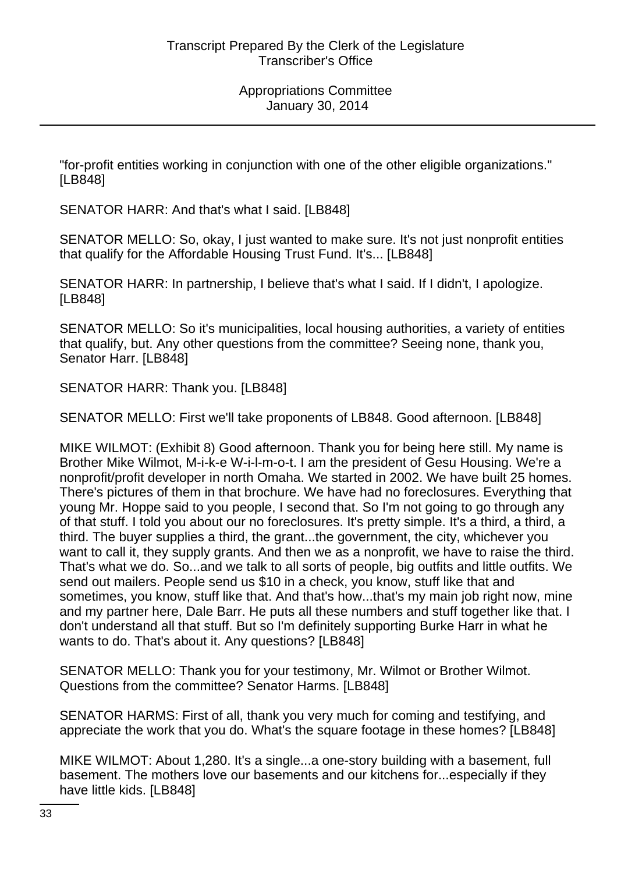"for-profit entities working in conjunction with one of the other eligible organizations." [LB848]

SENATOR HARR: And that's what I said. [LB848]

SENATOR MELLO: So, okay, I just wanted to make sure. It's not just nonprofit entities that qualify for the Affordable Housing Trust Fund. It's... [LB848]

SENATOR HARR: In partnership, I believe that's what I said. If I didn't, I apologize. [LB848]

SENATOR MELLO: So it's municipalities, local housing authorities, a variety of entities that qualify, but. Any other questions from the committee? Seeing none, thank you, Senator Harr. [LB848]

SENATOR HARR: Thank you. [LB848]

SENATOR MELLO: First we'll take proponents of LB848. Good afternoon. [LB848]

MIKE WILMOT: (Exhibit 8) Good afternoon. Thank you for being here still. My name is Brother Mike Wilmot, M-i-k-e W-i-l-m-o-t. I am the president of Gesu Housing. We're a nonprofit/profit developer in north Omaha. We started in 2002. We have built 25 homes. There's pictures of them in that brochure. We have had no foreclosures. Everything that young Mr. Hoppe said to you people, I second that. So I'm not going to go through any of that stuff. I told you about our no foreclosures. It's pretty simple. It's a third, a third, a third. The buyer supplies a third, the grant...the government, the city, whichever you want to call it, they supply grants. And then we as a nonprofit, we have to raise the third. That's what we do. So...and we talk to all sorts of people, big outfits and little outfits. We send out mailers. People send us \$10 in a check, you know, stuff like that and sometimes, you know, stuff like that. And that's how...that's my main job right now, mine and my partner here, Dale Barr. He puts all these numbers and stuff together like that. I don't understand all that stuff. But so I'm definitely supporting Burke Harr in what he wants to do. That's about it. Any questions? [LB848]

SENATOR MELLO: Thank you for your testimony, Mr. Wilmot or Brother Wilmot. Questions from the committee? Senator Harms. [LB848]

SENATOR HARMS: First of all, thank you very much for coming and testifying, and appreciate the work that you do. What's the square footage in these homes? [LB848]

MIKE WILMOT: About 1,280. It's a single...a one-story building with a basement, full basement. The mothers love our basements and our kitchens for...especially if they have little kids. [LB848]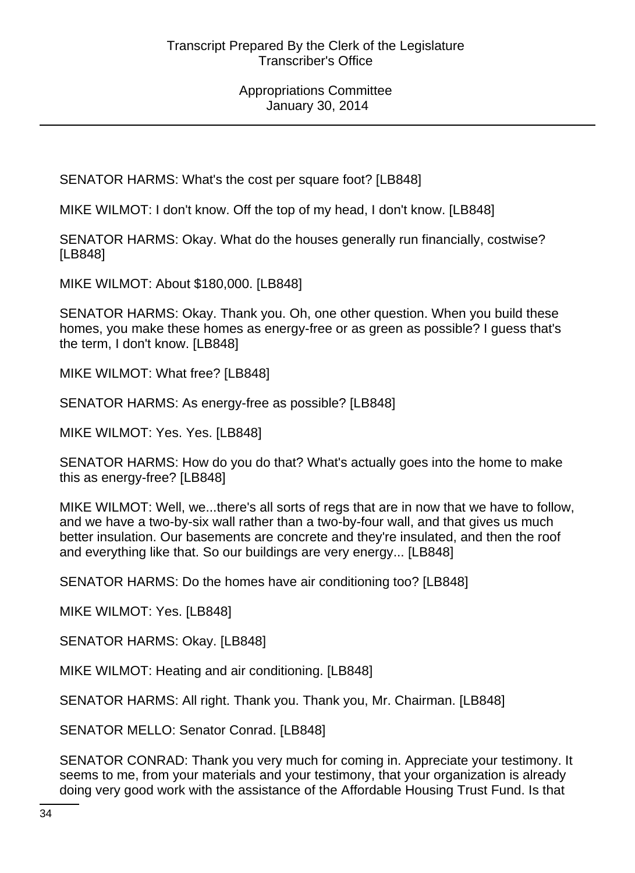SENATOR HARMS: What's the cost per square foot? [LB848]

MIKE WILMOT: I don't know. Off the top of my head, I don't know. [LB848]

SENATOR HARMS: Okay. What do the houses generally run financially, costwise? [LB848]

MIKE WILMOT: About \$180,000. [LB848]

SENATOR HARMS: Okay. Thank you. Oh, one other question. When you build these homes, you make these homes as energy-free or as green as possible? I guess that's the term, I don't know. [LB848]

MIKE WILMOT: What free? [LB848]

SENATOR HARMS: As energy-free as possible? [LB848]

MIKE WILMOT: Yes. Yes. [LB848]

SENATOR HARMS: How do you do that? What's actually goes into the home to make this as energy-free? [LB848]

MIKE WILMOT: Well, we...there's all sorts of regs that are in now that we have to follow, and we have a two-by-six wall rather than a two-by-four wall, and that gives us much better insulation. Our basements are concrete and they're insulated, and then the roof and everything like that. So our buildings are very energy... [LB848]

SENATOR HARMS: Do the homes have air conditioning too? [LB848]

MIKE WILMOT: Yes. [LB848]

SENATOR HARMS: Okay. [LB848]

MIKE WILMOT: Heating and air conditioning. [LB848]

SENATOR HARMS: All right. Thank you. Thank you, Mr. Chairman. [LB848]

SENATOR MELLO: Senator Conrad. [LB848]

SENATOR CONRAD: Thank you very much for coming in. Appreciate your testimony. It seems to me, from your materials and your testimony, that your organization is already doing very good work with the assistance of the Affordable Housing Trust Fund. Is that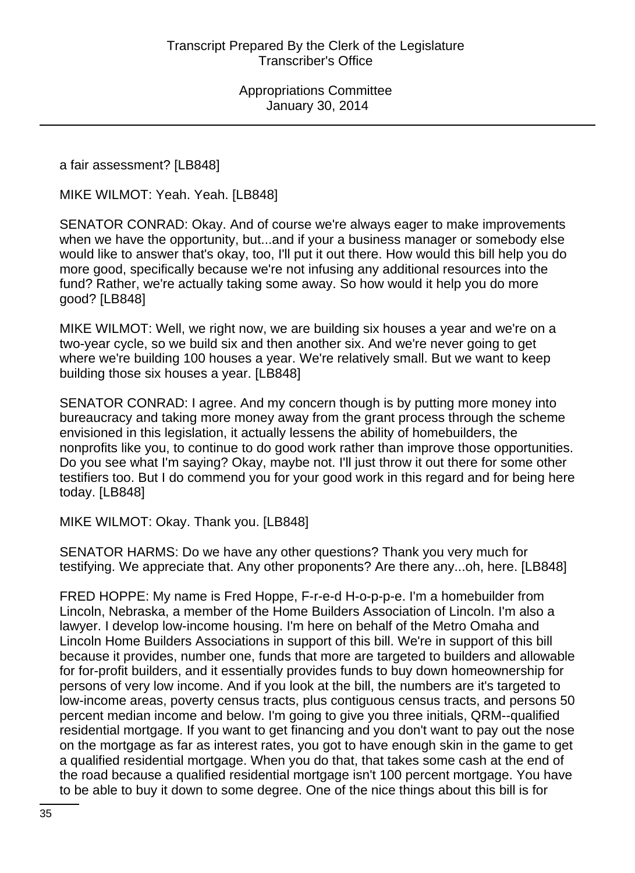a fair assessment? [LB848]

MIKE WILMOT: Yeah. Yeah. [LB848]

SENATOR CONRAD: Okay. And of course we're always eager to make improvements when we have the opportunity, but...and if your a business manager or somebody else would like to answer that's okay, too, I'll put it out there. How would this bill help you do more good, specifically because we're not infusing any additional resources into the fund? Rather, we're actually taking some away. So how would it help you do more good? [LB848]

MIKE WILMOT: Well, we right now, we are building six houses a year and we're on a two-year cycle, so we build six and then another six. And we're never going to get where we're building 100 houses a year. We're relatively small. But we want to keep building those six houses a year. [LB848]

SENATOR CONRAD: I agree. And my concern though is by putting more money into bureaucracy and taking more money away from the grant process through the scheme envisioned in this legislation, it actually lessens the ability of homebuilders, the nonprofits like you, to continue to do good work rather than improve those opportunities. Do you see what I'm saying? Okay, maybe not. I'll just throw it out there for some other testifiers too. But I do commend you for your good work in this regard and for being here today. [LB848]

MIKE WILMOT: Okay. Thank you. [LB848]

SENATOR HARMS: Do we have any other questions? Thank you very much for testifying. We appreciate that. Any other proponents? Are there any...oh, here. [LB848]

FRED HOPPE: My name is Fred Hoppe, F-r-e-d H-o-p-p-e. I'm a homebuilder from Lincoln, Nebraska, a member of the Home Builders Association of Lincoln. I'm also a lawyer. I develop low-income housing. I'm here on behalf of the Metro Omaha and Lincoln Home Builders Associations in support of this bill. We're in support of this bill because it provides, number one, funds that more are targeted to builders and allowable for for-profit builders, and it essentially provides funds to buy down homeownership for persons of very low income. And if you look at the bill, the numbers are it's targeted to low-income areas, poverty census tracts, plus contiguous census tracts, and persons 50 percent median income and below. I'm going to give you three initials, QRM--qualified residential mortgage. If you want to get financing and you don't want to pay out the nose on the mortgage as far as interest rates, you got to have enough skin in the game to get a qualified residential mortgage. When you do that, that takes some cash at the end of the road because a qualified residential mortgage isn't 100 percent mortgage. You have to be able to buy it down to some degree. One of the nice things about this bill is for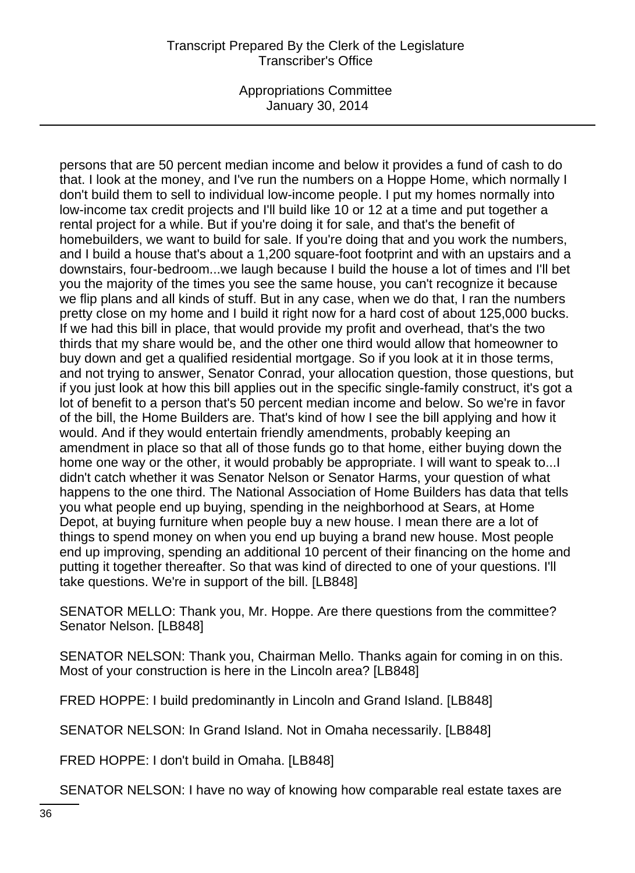Appropriations Committee January 30, 2014

persons that are 50 percent median income and below it provides a fund of cash to do that. I look at the money, and I've run the numbers on a Hoppe Home, which normally I don't build them to sell to individual low-income people. I put my homes normally into low-income tax credit projects and I'll build like 10 or 12 at a time and put together a rental project for a while. But if you're doing it for sale, and that's the benefit of homebuilders, we want to build for sale. If you're doing that and you work the numbers, and I build a house that's about a 1,200 square-foot footprint and with an upstairs and a downstairs, four-bedroom...we laugh because I build the house a lot of times and I'll bet you the majority of the times you see the same house, you can't recognize it because we flip plans and all kinds of stuff. But in any case, when we do that, I ran the numbers pretty close on my home and I build it right now for a hard cost of about 125,000 bucks. If we had this bill in place, that would provide my profit and overhead, that's the two thirds that my share would be, and the other one third would allow that homeowner to buy down and get a qualified residential mortgage. So if you look at it in those terms, and not trying to answer, Senator Conrad, your allocation question, those questions, but if you just look at how this bill applies out in the specific single-family construct, it's got a lot of benefit to a person that's 50 percent median income and below. So we're in favor of the bill, the Home Builders are. That's kind of how I see the bill applying and how it would. And if they would entertain friendly amendments, probably keeping an amendment in place so that all of those funds go to that home, either buying down the home one way or the other, it would probably be appropriate. I will want to speak to...I didn't catch whether it was Senator Nelson or Senator Harms, your question of what happens to the one third. The National Association of Home Builders has data that tells you what people end up buying, spending in the neighborhood at Sears, at Home Depot, at buying furniture when people buy a new house. I mean there are a lot of things to spend money on when you end up buying a brand new house. Most people end up improving, spending an additional 10 percent of their financing on the home and putting it together thereafter. So that was kind of directed to one of your questions. I'll take questions. We're in support of the bill. [LB848]

SENATOR MELLO: Thank you, Mr. Hoppe. Are there questions from the committee? Senator Nelson. [LB848]

SENATOR NELSON: Thank you, Chairman Mello. Thanks again for coming in on this. Most of your construction is here in the Lincoln area? [LB848]

FRED HOPPE: I build predominantly in Lincoln and Grand Island. [LB848]

SENATOR NELSON: In Grand Island. Not in Omaha necessarily. [LB848]

FRED HOPPE: I don't build in Omaha. [LB848]

SENATOR NELSON: I have no way of knowing how comparable real estate taxes are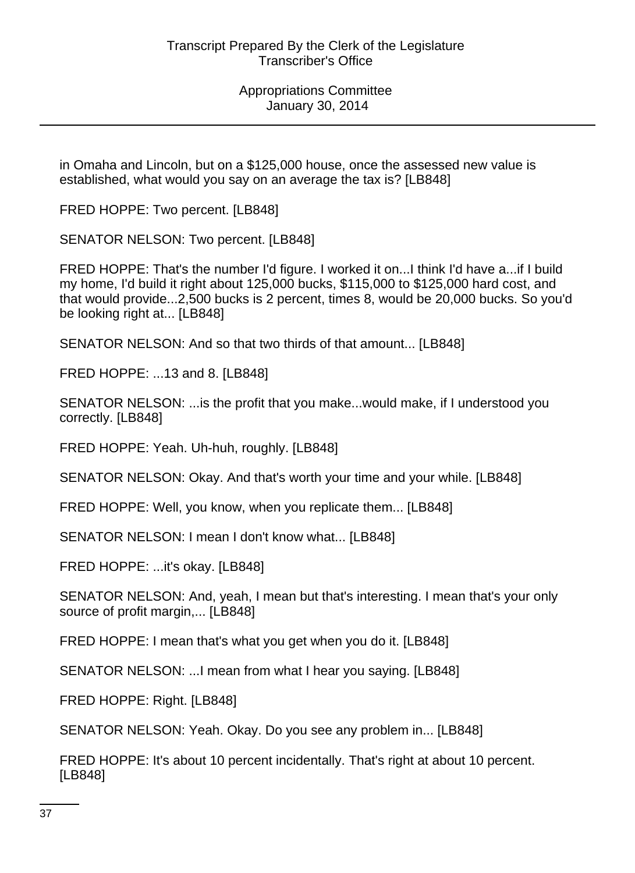in Omaha and Lincoln, but on a \$125,000 house, once the assessed new value is established, what would you say on an average the tax is? [LB848]

FRED HOPPE: Two percent. [LB848]

SENATOR NELSON: Two percent. [LB848]

FRED HOPPE: That's the number I'd figure. I worked it on...I think I'd have a...if I build my home, I'd build it right about 125,000 bucks, \$115,000 to \$125,000 hard cost, and that would provide...2,500 bucks is 2 percent, times 8, would be 20,000 bucks. So you'd be looking right at... [LB848]

SENATOR NELSON: And so that two thirds of that amount... [LB848]

FRED HOPPE: ...13 and 8. [LB848]

SENATOR NELSON: ...is the profit that you make...would make, if I understood you correctly. [LB848]

FRED HOPPE: Yeah. Uh-huh, roughly. [LB848]

SENATOR NELSON: Okay. And that's worth your time and your while. [LB848]

FRED HOPPE: Well, you know, when you replicate them... [LB848]

SENATOR NELSON: I mean I don't know what... [LB848]

FRED HOPPE: ...it's okay. [LB848]

SENATOR NELSON: And, yeah, I mean but that's interesting. I mean that's your only source of profit margin,... [LB848]

FRED HOPPE: I mean that's what you get when you do it. [LB848]

SENATOR NELSON: ...I mean from what I hear you saying. [LB848]

FRED HOPPE: Right. [LB848]

SENATOR NELSON: Yeah. Okay. Do you see any problem in... [LB848]

FRED HOPPE: It's about 10 percent incidentally. That's right at about 10 percent. [LB848]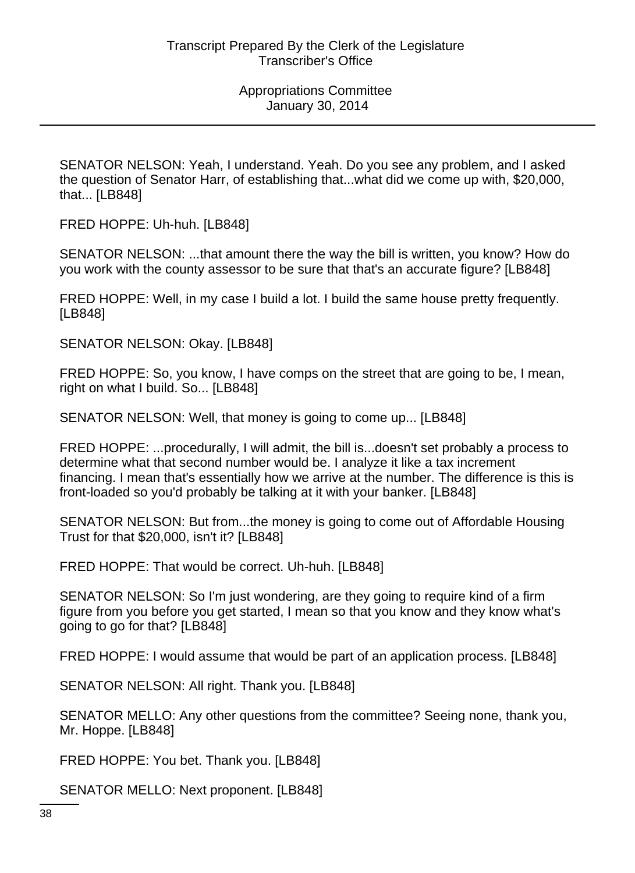SENATOR NELSON: Yeah, I understand. Yeah. Do you see any problem, and I asked the question of Senator Harr, of establishing that...what did we come up with, \$20,000, that... [LB848]

FRED HOPPE: Uh-huh. [LB848]

SENATOR NELSON: ...that amount there the way the bill is written, you know? How do you work with the county assessor to be sure that that's an accurate figure? [LB848]

FRED HOPPE: Well, in my case I build a lot. I build the same house pretty frequently. [LB848]

SENATOR NELSON: Okay. [LB848]

FRED HOPPE: So, you know, I have comps on the street that are going to be, I mean, right on what I build. So... [LB848]

SENATOR NELSON: Well, that money is going to come up... [LB848]

FRED HOPPE: ...procedurally, I will admit, the bill is...doesn't set probably a process to determine what that second number would be. I analyze it like a tax increment financing. I mean that's essentially how we arrive at the number. The difference is this is front-loaded so you'd probably be talking at it with your banker. [LB848]

SENATOR NELSON: But from...the money is going to come out of Affordable Housing Trust for that \$20,000, isn't it? [LB848]

FRED HOPPE: That would be correct. Uh-huh. [LB848]

SENATOR NELSON: So I'm just wondering, are they going to require kind of a firm figure from you before you get started, I mean so that you know and they know what's going to go for that? [LB848]

FRED HOPPE: I would assume that would be part of an application process. [LB848]

SENATOR NELSON: All right. Thank you. [LB848]

SENATOR MELLO: Any other questions from the committee? Seeing none, thank you, Mr. Hoppe. [LB848]

FRED HOPPE: You bet. Thank you. [LB848]

SENATOR MELLO: Next proponent. [LB848]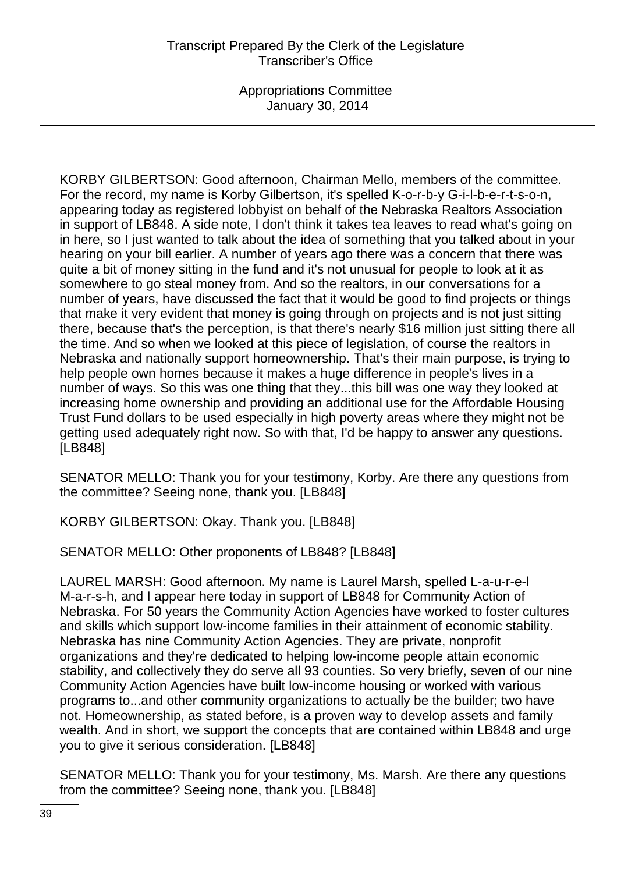KORBY GILBERTSON: Good afternoon, Chairman Mello, members of the committee. For the record, my name is Korby Gilbertson, it's spelled K-o-r-b-y G-i-l-b-e-r-t-s-o-n, appearing today as registered lobbyist on behalf of the Nebraska Realtors Association in support of LB848. A side note, I don't think it takes tea leaves to read what's going on in here, so I just wanted to talk about the idea of something that you talked about in your hearing on your bill earlier. A number of years ago there was a concern that there was quite a bit of money sitting in the fund and it's not unusual for people to look at it as somewhere to go steal money from. And so the realtors, in our conversations for a number of years, have discussed the fact that it would be good to find projects or things that make it very evident that money is going through on projects and is not just sitting there, because that's the perception, is that there's nearly \$16 million just sitting there all the time. And so when we looked at this piece of legislation, of course the realtors in Nebraska and nationally support homeownership. That's their main purpose, is trying to help people own homes because it makes a huge difference in people's lives in a number of ways. So this was one thing that they...this bill was one way they looked at increasing home ownership and providing an additional use for the Affordable Housing Trust Fund dollars to be used especially in high poverty areas where they might not be getting used adequately right now. So with that, I'd be happy to answer any questions. [LB848]

SENATOR MELLO: Thank you for your testimony, Korby. Are there any questions from the committee? Seeing none, thank you. [LB848]

KORBY GILBERTSON: Okay. Thank you. [LB848]

SENATOR MELLO: Other proponents of LB848? [LB848]

LAUREL MARSH: Good afternoon. My name is Laurel Marsh, spelled L-a-u-r-e-l M-a-r-s-h, and I appear here today in support of LB848 for Community Action of Nebraska. For 50 years the Community Action Agencies have worked to foster cultures and skills which support low-income families in their attainment of economic stability. Nebraska has nine Community Action Agencies. They are private, nonprofit organizations and they're dedicated to helping low-income people attain economic stability, and collectively they do serve all 93 counties. So very briefly, seven of our nine Community Action Agencies have built low-income housing or worked with various programs to...and other community organizations to actually be the builder; two have not. Homeownership, as stated before, is a proven way to develop assets and family wealth. And in short, we support the concepts that are contained within LB848 and urge you to give it serious consideration. [LB848]

SENATOR MELLO: Thank you for your testimony, Ms. Marsh. Are there any questions from the committee? Seeing none, thank you. [LB848]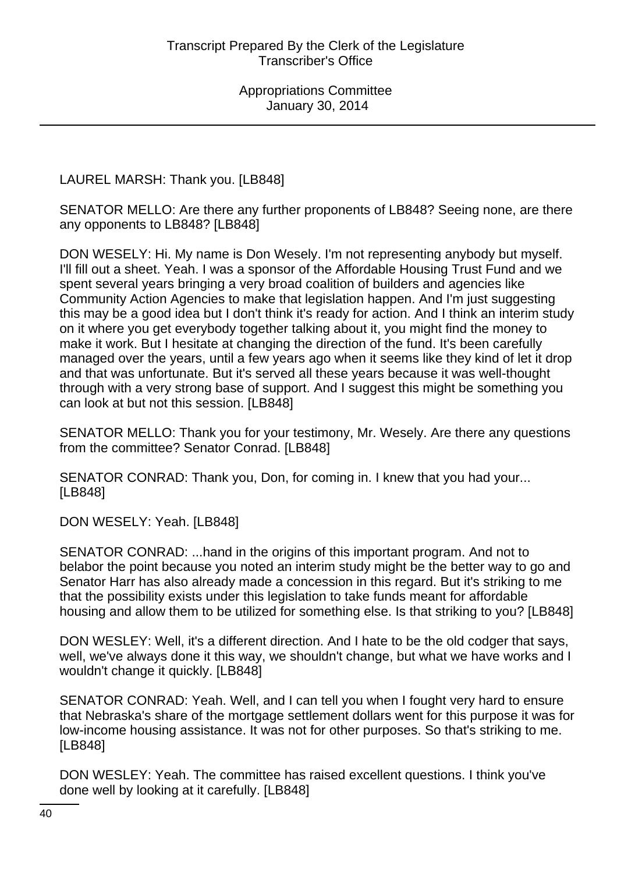LAUREL MARSH: Thank you. [LB848]

SENATOR MELLO: Are there any further proponents of LB848? Seeing none, are there any opponents to LB848? [LB848]

DON WESELY: Hi. My name is Don Wesely. I'm not representing anybody but myself. I'll fill out a sheet. Yeah. I was a sponsor of the Affordable Housing Trust Fund and we spent several years bringing a very broad coalition of builders and agencies like Community Action Agencies to make that legislation happen. And I'm just suggesting this may be a good idea but I don't think it's ready for action. And I think an interim study on it where you get everybody together talking about it, you might find the money to make it work. But I hesitate at changing the direction of the fund. It's been carefully managed over the years, until a few years ago when it seems like they kind of let it drop and that was unfortunate. But it's served all these years because it was well-thought through with a very strong base of support. And I suggest this might be something you can look at but not this session. [LB848]

SENATOR MELLO: Thank you for your testimony, Mr. Wesely. Are there any questions from the committee? Senator Conrad. [LB848]

SENATOR CONRAD: Thank you, Don, for coming in. I knew that you had your... [LB848]

DON WESELY: Yeah. [LB848]

SENATOR CONRAD: ...hand in the origins of this important program. And not to belabor the point because you noted an interim study might be the better way to go and Senator Harr has also already made a concession in this regard. But it's striking to me that the possibility exists under this legislation to take funds meant for affordable housing and allow them to be utilized for something else. Is that striking to you? [LB848]

DON WESLEY: Well, it's a different direction. And I hate to be the old codger that says, well, we've always done it this way, we shouldn't change, but what we have works and I wouldn't change it quickly. [LB848]

SENATOR CONRAD: Yeah. Well, and I can tell you when I fought very hard to ensure that Nebraska's share of the mortgage settlement dollars went for this purpose it was for low-income housing assistance. It was not for other purposes. So that's striking to me. [LB848]

DON WESLEY: Yeah. The committee has raised excellent questions. I think you've done well by looking at it carefully. [LB848]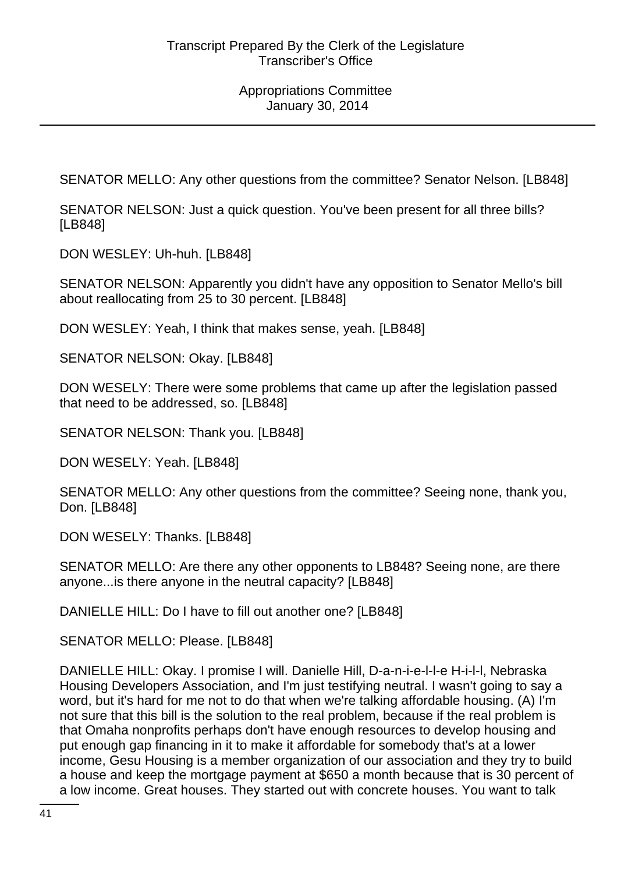SENATOR MELLO: Any other questions from the committee? Senator Nelson. [LB848]

SENATOR NELSON: Just a quick question. You've been present for all three bills? [LB848]

DON WESLEY: Uh-huh. [LB848]

SENATOR NELSON: Apparently you didn't have any opposition to Senator Mello's bill about reallocating from 25 to 30 percent. [LB848]

DON WESLEY: Yeah, I think that makes sense, yeah. [LB848]

SENATOR NELSON: Okay. [LB848]

DON WESELY: There were some problems that came up after the legislation passed that need to be addressed, so. [LB848]

SENATOR NELSON: Thank you. [LB848]

DON WESELY: Yeah. [LB848]

SENATOR MELLO: Any other questions from the committee? Seeing none, thank you, Don. [LB848]

DON WESELY: Thanks. [LB848]

SENATOR MELLO: Are there any other opponents to LB848? Seeing none, are there anyone...is there anyone in the neutral capacity? [LB848]

DANIELLE HILL: Do I have to fill out another one? [LB848]

SENATOR MELLO: Please. [LB848]

DANIELLE HILL: Okay. I promise I will. Danielle Hill, D-a-n-i-e-l-l-e H-i-l-l, Nebraska Housing Developers Association, and I'm just testifying neutral. I wasn't going to say a word, but it's hard for me not to do that when we're talking affordable housing. (A) I'm not sure that this bill is the solution to the real problem, because if the real problem is that Omaha nonprofits perhaps don't have enough resources to develop housing and put enough gap financing in it to make it affordable for somebody that's at a lower income, Gesu Housing is a member organization of our association and they try to build a house and keep the mortgage payment at \$650 a month because that is 30 percent of a low income. Great houses. They started out with concrete houses. You want to talk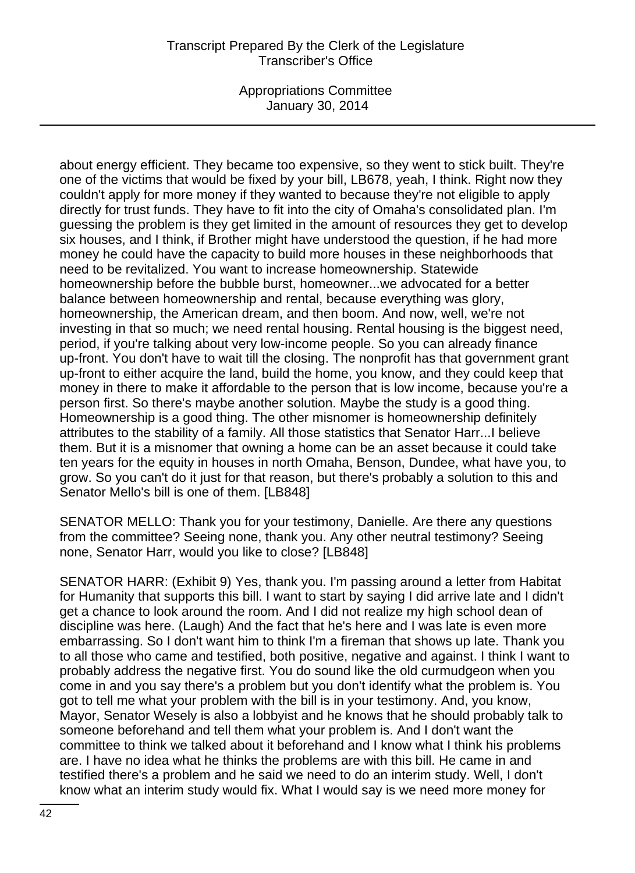Appropriations Committee January 30, 2014

about energy efficient. They became too expensive, so they went to stick built. They're one of the victims that would be fixed by your bill, LB678, yeah, I think. Right now they couldn't apply for more money if they wanted to because they're not eligible to apply directly for trust funds. They have to fit into the city of Omaha's consolidated plan. I'm guessing the problem is they get limited in the amount of resources they get to develop six houses, and I think, if Brother might have understood the question, if he had more money he could have the capacity to build more houses in these neighborhoods that need to be revitalized. You want to increase homeownership. Statewide homeownership before the bubble burst, homeowner...we advocated for a better balance between homeownership and rental, because everything was glory, homeownership, the American dream, and then boom. And now, well, we're not investing in that so much; we need rental housing. Rental housing is the biggest need, period, if you're talking about very low-income people. So you can already finance up-front. You don't have to wait till the closing. The nonprofit has that government grant up-front to either acquire the land, build the home, you know, and they could keep that money in there to make it affordable to the person that is low income, because you're a person first. So there's maybe another solution. Maybe the study is a good thing. Homeownership is a good thing. The other misnomer is homeownership definitely attributes to the stability of a family. All those statistics that Senator Harr...I believe them. But it is a misnomer that owning a home can be an asset because it could take ten years for the equity in houses in north Omaha, Benson, Dundee, what have you, to grow. So you can't do it just for that reason, but there's probably a solution to this and Senator Mello's bill is one of them. [LB848]

SENATOR MELLO: Thank you for your testimony, Danielle. Are there any questions from the committee? Seeing none, thank you. Any other neutral testimony? Seeing none, Senator Harr, would you like to close? [LB848]

SENATOR HARR: (Exhibit 9) Yes, thank you. I'm passing around a letter from Habitat for Humanity that supports this bill. I want to start by saying I did arrive late and I didn't get a chance to look around the room. And I did not realize my high school dean of discipline was here. (Laugh) And the fact that he's here and I was late is even more embarrassing. So I don't want him to think I'm a fireman that shows up late. Thank you to all those who came and testified, both positive, negative and against. I think I want to probably address the negative first. You do sound like the old curmudgeon when you come in and you say there's a problem but you don't identify what the problem is. You got to tell me what your problem with the bill is in your testimony. And, you know, Mayor, Senator Wesely is also a lobbyist and he knows that he should probably talk to someone beforehand and tell them what your problem is. And I don't want the committee to think we talked about it beforehand and I know what I think his problems are. I have no idea what he thinks the problems are with this bill. He came in and testified there's a problem and he said we need to do an interim study. Well, I don't know what an interim study would fix. What I would say is we need more money for